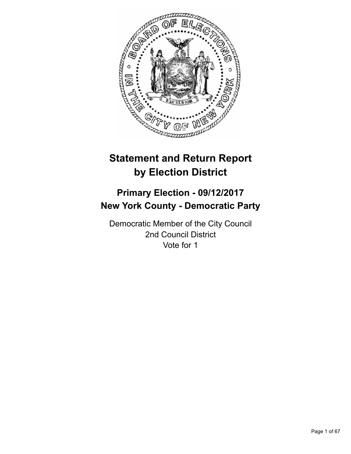

# **Statement and Return Report by Election District**

# **Primary Election - 09/12/2017 New York County - Democratic Party**

Democratic Member of the City Council 2nd Council District Vote for 1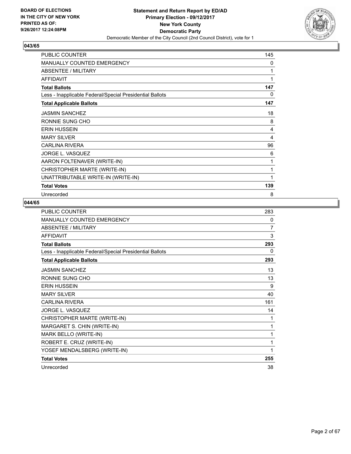

| PUBLIC COUNTER                                           | 145 |
|----------------------------------------------------------|-----|
| <b>MANUALLY COUNTED EMERGENCY</b>                        | 0   |
| ABSENTEE / MILITARY                                      | 1   |
| <b>AFFIDAVIT</b>                                         | 1   |
| <b>Total Ballots</b>                                     | 147 |
| Less - Inapplicable Federal/Special Presidential Ballots | 0   |
| <b>Total Applicable Ballots</b>                          | 147 |
| <b>JASMIN SANCHEZ</b>                                    | 18  |
| RONNIE SUNG CHO                                          | 8   |
| <b>ERIN HUSSEIN</b>                                      | 4   |
| <b>MARY SILVER</b>                                       | 4   |
| <b>CARLINA RIVERA</b>                                    | 96  |
| JORGE L. VASQUEZ                                         | 6   |
| AARON FOLTENAVER (WRITE-IN)                              | 1   |
| CHRISTOPHER MARTE (WRITE-IN)                             | 1   |
| UNATTRIBUTABLE WRITE-IN (WRITE-IN)                       | 1   |
| <b>Total Votes</b>                                       | 139 |
| Unrecorded                                               | 8   |

| PUBLIC COUNTER                                           | 283 |
|----------------------------------------------------------|-----|
| <b>MANUALLY COUNTED EMERGENCY</b>                        | 0   |
| <b>ABSENTEE / MILITARY</b>                               | 7   |
| <b>AFFIDAVIT</b>                                         | 3   |
| <b>Total Ballots</b>                                     | 293 |
| Less - Inapplicable Federal/Special Presidential Ballots | 0   |
| <b>Total Applicable Ballots</b>                          | 293 |
| <b>JASMIN SANCHEZ</b>                                    | 13  |
| RONNIE SUNG CHO                                          | 13  |
| <b>ERIN HUSSEIN</b>                                      | 9   |
| <b>MARY SILVER</b>                                       | 40  |
| <b>CARLINA RIVERA</b>                                    | 161 |
| JORGE L. VASQUEZ                                         | 14  |
| CHRISTOPHER MARTE (WRITE-IN)                             | 1   |
| MARGARET S. CHIN (WRITE-IN)                              | 1   |
| MARK BELLO (WRITE-IN)                                    | 1   |
| ROBERT E. CRUZ (WRITE-IN)                                | 1   |
| YOSEF MENDALSBERG (WRITE-IN)                             | 1   |
| <b>Total Votes</b>                                       | 255 |
| Unrecorded                                               | 38  |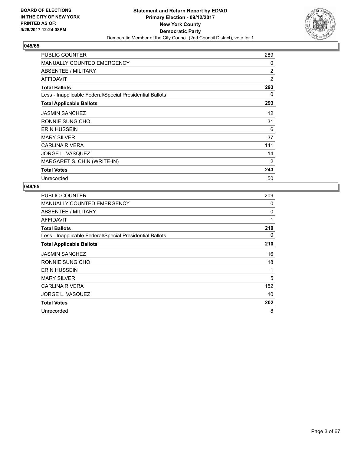

| <b>PUBLIC COUNTER</b>                                    | 289            |
|----------------------------------------------------------|----------------|
| <b>MANUALLY COUNTED EMERGENCY</b>                        | 0              |
| ABSENTEE / MILITARY                                      | $\overline{2}$ |
| <b>AFFIDAVIT</b>                                         | $\overline{2}$ |
| <b>Total Ballots</b>                                     | 293            |
| Less - Inapplicable Federal/Special Presidential Ballots | 0              |
| <b>Total Applicable Ballots</b>                          | 293            |
| <b>JASMIN SANCHEZ</b>                                    | 12             |
| RONNIE SUNG CHO                                          | 31             |
| <b>ERIN HUSSEIN</b>                                      | 6              |
| <b>MARY SILVER</b>                                       | 37             |
| <b>CARLINA RIVERA</b>                                    | 141            |
| JORGE L. VASQUEZ                                         | 14             |
| MARGARET S. CHIN (WRITE-IN)                              | 2              |
| <b>Total Votes</b>                                       | 243            |
| Unrecorded                                               | 50             |

| PUBLIC COUNTER                                           | 209 |
|----------------------------------------------------------|-----|
| <b>MANUALLY COUNTED EMERGENCY</b>                        | 0   |
| ABSENTEE / MILITARY                                      | 0   |
| AFFIDAVIT                                                | 1   |
| <b>Total Ballots</b>                                     | 210 |
| Less - Inapplicable Federal/Special Presidential Ballots | 0   |
| <b>Total Applicable Ballots</b>                          | 210 |
| <b>JASMIN SANCHEZ</b>                                    | 16  |
| RONNIE SUNG CHO                                          | 18  |
| <b>ERIN HUSSEIN</b>                                      | 1   |
| <b>MARY SILVER</b>                                       | 5   |
| <b>CARLINA RIVERA</b>                                    | 152 |
| JORGE L. VASQUEZ                                         | 10  |
| <b>Total Votes</b>                                       | 202 |
| Unrecorded                                               | 8   |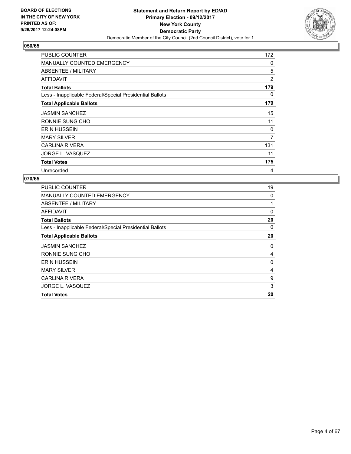

| <b>PUBLIC COUNTER</b>                                    | 172 |
|----------------------------------------------------------|-----|
| <b>MANUALLY COUNTED EMERGENCY</b>                        | 0   |
| ABSENTEE / MILITARY                                      | 5   |
| AFFIDAVIT                                                | 2   |
| <b>Total Ballots</b>                                     | 179 |
| Less - Inapplicable Federal/Special Presidential Ballots | 0   |
| <b>Total Applicable Ballots</b>                          | 179 |
| <b>JASMIN SANCHEZ</b>                                    | 15  |
| RONNIE SUNG CHO                                          | 11  |
| <b>ERIN HUSSEIN</b>                                      | 0   |
| <b>MARY SILVER</b>                                       | 7   |
| <b>CARLINA RIVERA</b>                                    | 131 |
| JORGE L. VASQUEZ                                         | 11  |
| <b>Total Votes</b>                                       | 175 |
| Unrecorded                                               | 4   |

| <b>PUBLIC COUNTER</b>                                    | 19 |
|----------------------------------------------------------|----|
| MANUALLY COUNTED EMERGENCY                               | 0  |
| ABSENTEE / MILITARY                                      | 1  |
| AFFIDAVIT                                                | 0  |
| <b>Total Ballots</b>                                     | 20 |
| Less - Inapplicable Federal/Special Presidential Ballots | 0  |
| <b>Total Applicable Ballots</b>                          | 20 |
| <b>JASMIN SANCHEZ</b>                                    | 0  |
| RONNIE SUNG CHO                                          | 4  |
| <b>ERIN HUSSEIN</b>                                      | 0  |
| <b>MARY SILVER</b>                                       | 4  |
| <b>CARLINA RIVERA</b>                                    | 9  |
| JORGE L. VASQUEZ                                         | 3  |
| <b>Total Votes</b>                                       | 20 |
|                                                          |    |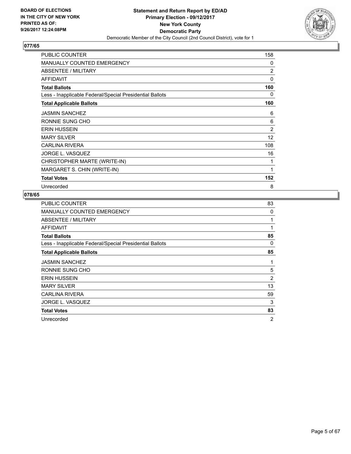

| <b>PUBLIC COUNTER</b>                                    | 158            |
|----------------------------------------------------------|----------------|
| <b>MANUALLY COUNTED EMERGENCY</b>                        | 0              |
| ABSENTEE / MILITARY                                      | $\overline{2}$ |
| <b>AFFIDAVIT</b>                                         | 0              |
| <b>Total Ballots</b>                                     | 160            |
| Less - Inapplicable Federal/Special Presidential Ballots | 0              |
| <b>Total Applicable Ballots</b>                          | 160            |
| <b>JASMIN SANCHEZ</b>                                    | 6              |
| RONNIE SUNG CHO                                          | 6              |
| <b>ERIN HUSSEIN</b>                                      | 2              |
| <b>MARY SILVER</b>                                       | 12             |
| <b>CARLINA RIVERA</b>                                    | 108            |
| JORGE L. VASQUEZ                                         | 16             |
| CHRISTOPHER MARTE (WRITE-IN)                             | 1              |
| MARGARET S. CHIN (WRITE-IN)                              | 1              |
| <b>Total Votes</b>                                       | 152            |
| Unrecorded                                               | 8              |

| <b>PUBLIC COUNTER</b>                                    | 83 |
|----------------------------------------------------------|----|
| MANUALLY COUNTED EMERGENCY                               | 0  |
| ABSENTEE / MILITARY                                      | 1  |
| <b>AFFIDAVIT</b>                                         | 1  |
| <b>Total Ballots</b>                                     | 85 |
| Less - Inapplicable Federal/Special Presidential Ballots | 0  |
| <b>Total Applicable Ballots</b>                          | 85 |
| <b>JASMIN SANCHEZ</b>                                    | 1  |
| RONNIE SUNG CHO                                          | 5  |
| <b>ERIN HUSSEIN</b>                                      | 2  |
| <b>MARY SILVER</b>                                       | 13 |
| <b>CARLINA RIVERA</b>                                    | 59 |
| JORGE L. VASQUEZ                                         | 3  |
| <b>Total Votes</b>                                       | 83 |
| Unrecorded                                               | 2  |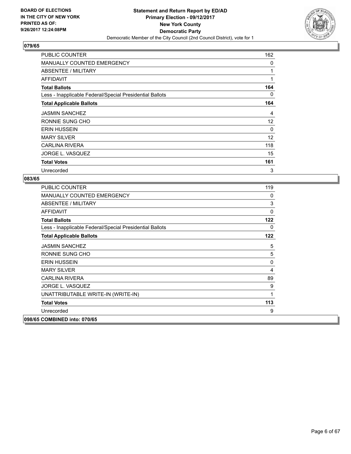

| <b>PUBLIC COUNTER</b>                                    | 162 |
|----------------------------------------------------------|-----|
| <b>MANUALLY COUNTED EMERGENCY</b>                        | 0   |
| ABSENTEE / MILITARY                                      | 1   |
| <b>AFFIDAVIT</b>                                         | 1   |
| <b>Total Ballots</b>                                     | 164 |
| Less - Inapplicable Federal/Special Presidential Ballots | 0   |
| <b>Total Applicable Ballots</b>                          | 164 |
| <b>JASMIN SANCHEZ</b>                                    | 4   |
| RONNIE SUNG CHO                                          | 12  |
| <b>ERIN HUSSEIN</b>                                      | 0   |
| <b>MARY SILVER</b>                                       | 12  |
| <b>CARLINA RIVERA</b>                                    | 118 |
| JORGE L. VASQUEZ                                         | 15  |
| <b>Total Votes</b>                                       | 161 |
| Unrecorded                                               | 3   |

| <b>PUBLIC COUNTER</b>                                    | 119         |
|----------------------------------------------------------|-------------|
| <b>MANUALLY COUNTED EMERGENCY</b>                        | 0           |
| ABSENTEE / MILITARY                                      | 3           |
| <b>AFFIDAVIT</b>                                         | $\mathbf 0$ |
| <b>Total Ballots</b>                                     | 122         |
| Less - Inapplicable Federal/Special Presidential Ballots | 0           |
| <b>Total Applicable Ballots</b>                          | 122         |
| <b>JASMIN SANCHEZ</b>                                    | 5           |
| RONNIE SUNG CHO                                          | 5           |
| <b>ERIN HUSSEIN</b>                                      | 0           |
| <b>MARY SILVER</b>                                       | 4           |
| <b>CARLINA RIVERA</b>                                    | 89          |
| <b>JORGE L. VASQUEZ</b>                                  | 9           |
| UNATTRIBUTABLE WRITE-IN (WRITE-IN)                       | 1           |
| <b>Total Votes</b>                                       | 113         |
| Unrecorded                                               | 9           |
| 098/65 COMBINED into: 070/65                             |             |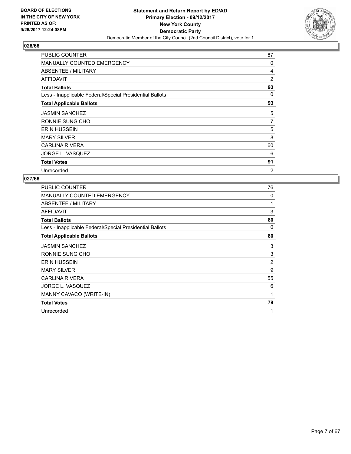

| <b>PUBLIC COUNTER</b>                                    | 87             |
|----------------------------------------------------------|----------------|
| <b>MANUALLY COUNTED EMERGENCY</b>                        | 0              |
| ABSENTEE / MILITARY                                      | 4              |
| AFFIDAVIT                                                | 2              |
| <b>Total Ballots</b>                                     | 93             |
| Less - Inapplicable Federal/Special Presidential Ballots | 0              |
| <b>Total Applicable Ballots</b>                          | 93             |
| <b>JASMIN SANCHEZ</b>                                    | 5              |
| RONNIE SUNG CHO                                          | 7              |
| <b>ERIN HUSSEIN</b>                                      | 5              |
| <b>MARY SILVER</b>                                       | 8              |
| <b>CARLINA RIVERA</b>                                    | 60             |
| JORGE L. VASQUEZ                                         | 6              |
| <b>Total Votes</b>                                       | 91             |
| Unrecorded                                               | $\overline{2}$ |

| PUBLIC COUNTER                                           | 76             |
|----------------------------------------------------------|----------------|
| <b>MANUALLY COUNTED EMERGENCY</b>                        | 0              |
| ABSENTEE / MILITARY                                      | 1              |
| <b>AFFIDAVIT</b>                                         | 3              |
| <b>Total Ballots</b>                                     | 80             |
| Less - Inapplicable Federal/Special Presidential Ballots | 0              |
| <b>Total Applicable Ballots</b>                          | 80             |
| <b>JASMIN SANCHEZ</b>                                    | 3              |
| RONNIE SUNG CHO                                          | 3              |
| <b>ERIN HUSSEIN</b>                                      | $\overline{2}$ |
| <b>MARY SILVER</b>                                       | 9              |
| CARLINA RIVERA                                           | 55             |
| JORGE L. VASQUEZ                                         | 6              |
| MANNY CAVACO (WRITE-IN)                                  | 1              |
| <b>Total Votes</b>                                       | 79             |
| Unrecorded                                               | 1              |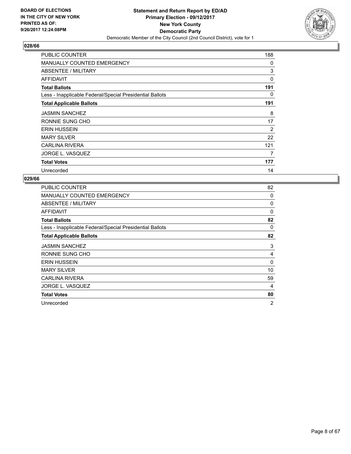

| <b>PUBLIC COUNTER</b>                                    | 188 |
|----------------------------------------------------------|-----|
| <b>MANUALLY COUNTED EMERGENCY</b>                        | 0   |
| ABSENTEE / MILITARY                                      | 3   |
| AFFIDAVIT                                                | 0   |
| <b>Total Ballots</b>                                     | 191 |
| Less - Inapplicable Federal/Special Presidential Ballots | 0   |
| <b>Total Applicable Ballots</b>                          | 191 |
| <b>JASMIN SANCHEZ</b>                                    | 8   |
| RONNIE SUNG CHO                                          | 17  |
| <b>ERIN HUSSEIN</b>                                      | 2   |
| <b>MARY SILVER</b>                                       | 22  |
| <b>CARLINA RIVERA</b>                                    | 121 |
| JORGE L. VASQUEZ                                         | 7   |
| <b>Total Votes</b>                                       | 177 |
| Unrecorded                                               | 14  |

| <b>PUBLIC COUNTER</b>                                    | 82       |
|----------------------------------------------------------|----------|
| <b>MANUALLY COUNTED EMERGENCY</b>                        | 0        |
| ABSENTEE / MILITARY                                      | 0        |
| AFFIDAVIT                                                | $\Omega$ |
| <b>Total Ballots</b>                                     | 82       |
| Less - Inapplicable Federal/Special Presidential Ballots | 0        |
| <b>Total Applicable Ballots</b>                          | 82       |
| <b>JASMIN SANCHEZ</b>                                    | 3        |
| RONNIE SUNG CHO                                          | 4        |
| <b>ERIN HUSSEIN</b>                                      | 0        |
| <b>MARY SILVER</b>                                       | 10       |
| <b>CARLINA RIVERA</b>                                    | 59       |
| JORGE L. VASQUEZ                                         | 4        |
| <b>Total Votes</b>                                       | 80       |
| Unrecorded                                               | 2        |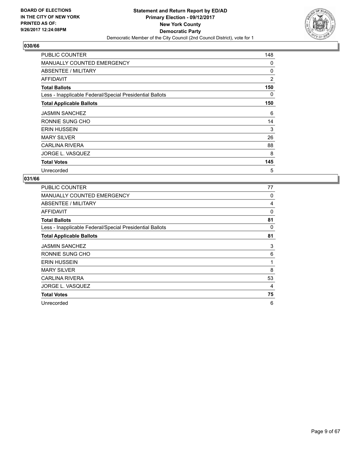

| <b>PUBLIC COUNTER</b>                                    | 148 |
|----------------------------------------------------------|-----|
| <b>MANUALLY COUNTED EMERGENCY</b>                        | 0   |
| ABSENTEE / MILITARY                                      | 0   |
| AFFIDAVIT                                                | 2   |
| <b>Total Ballots</b>                                     | 150 |
| Less - Inapplicable Federal/Special Presidential Ballots | 0   |
| <b>Total Applicable Ballots</b>                          | 150 |
| <b>JASMIN SANCHEZ</b>                                    | 6   |
| RONNIE SUNG CHO                                          | 14  |
| <b>ERIN HUSSEIN</b>                                      | 3   |
| <b>MARY SILVER</b>                                       | 26  |
| <b>CARLINA RIVERA</b>                                    | 88  |
| JORGE L. VASQUEZ                                         | 8   |
| <b>Total Votes</b>                                       | 145 |
| Unrecorded                                               | 5   |

| <b>PUBLIC COUNTER</b>                                    | 77 |
|----------------------------------------------------------|----|
| <b>MANUALLY COUNTED EMERGENCY</b>                        | 0  |
| ABSENTEE / MILITARY                                      | 4  |
| AFFIDAVIT                                                | 0  |
| <b>Total Ballots</b>                                     | 81 |
| Less - Inapplicable Federal/Special Presidential Ballots | 0  |
| <b>Total Applicable Ballots</b>                          | 81 |
| <b>JASMIN SANCHEZ</b>                                    | 3  |
| RONNIE SUNG CHO                                          | 6  |
| <b>ERIN HUSSEIN</b>                                      | 1  |
| <b>MARY SILVER</b>                                       | 8  |
| <b>CARLINA RIVERA</b>                                    | 53 |
| JORGE L. VASQUEZ                                         | 4  |
| <b>Total Votes</b>                                       | 75 |
| Unrecorded                                               | 6  |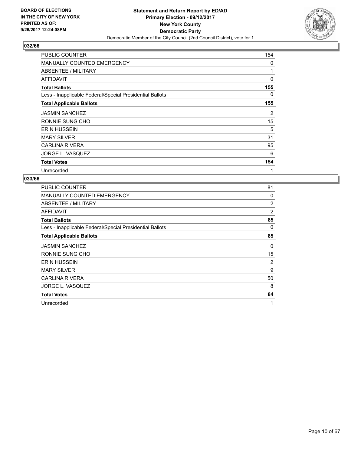

| <b>PUBLIC COUNTER</b>                                    | 154      |
|----------------------------------------------------------|----------|
| <b>MANUALLY COUNTED EMERGENCY</b>                        | 0        |
| ABSENTEE / MILITARY                                      | 1        |
| <b>AFFIDAVIT</b>                                         | $\Omega$ |
| <b>Total Ballots</b>                                     | 155      |
| Less - Inapplicable Federal/Special Presidential Ballots | 0        |
| <b>Total Applicable Ballots</b>                          | 155      |
| <b>JASMIN SANCHEZ</b>                                    | 2        |
| RONNIE SUNG CHO                                          | 15       |
| <b>ERIN HUSSEIN</b>                                      | 5        |
| <b>MARY SILVER</b>                                       | 31       |
| <b>CARLINA RIVERA</b>                                    | 95       |
| JORGE L. VASQUEZ                                         | 6        |
| <b>Total Votes</b>                                       | 154      |
| Unrecorded                                               | 1        |

| <b>PUBLIC COUNTER</b>                                    | 81             |
|----------------------------------------------------------|----------------|
| <b>MANUALLY COUNTED EMERGENCY</b>                        | 0              |
| ABSENTEE / MILITARY                                      | $\overline{2}$ |
| AFFIDAVIT                                                | 2              |
| <b>Total Ballots</b>                                     | 85             |
| Less - Inapplicable Federal/Special Presidential Ballots | 0              |
| <b>Total Applicable Ballots</b>                          | 85             |
| <b>JASMIN SANCHEZ</b>                                    | 0              |
| RONNIE SUNG CHO                                          | 15             |
| <b>ERIN HUSSEIN</b>                                      | 2              |
| <b>MARY SILVER</b>                                       | 9              |
| <b>CARLINA RIVERA</b>                                    | 50             |
| JORGE L. VASQUEZ                                         | 8              |
| <b>Total Votes</b>                                       | 84             |
| Unrecorded                                               | 1              |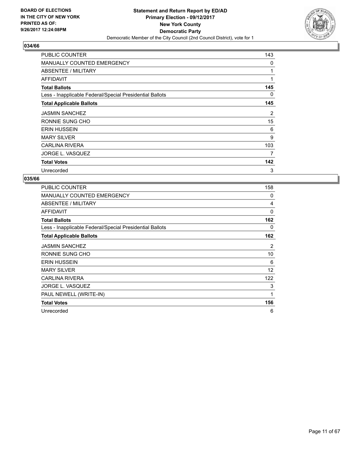

| <b>PUBLIC COUNTER</b>                                    | 143 |
|----------------------------------------------------------|-----|
| <b>MANUALLY COUNTED EMERGENCY</b>                        | 0   |
| ABSENTEE / MILITARY                                      | 1   |
| <b>AFFIDAVIT</b>                                         | 1   |
| <b>Total Ballots</b>                                     | 145 |
| Less - Inapplicable Federal/Special Presidential Ballots | 0   |
| <b>Total Applicable Ballots</b>                          | 145 |
| <b>JASMIN SANCHEZ</b>                                    | 2   |
| RONNIE SUNG CHO                                          | 15  |
| <b>ERIN HUSSEIN</b>                                      | 6   |
| <b>MARY SILVER</b>                                       | 9   |
| <b>CARLINA RIVERA</b>                                    | 103 |
| JORGE L. VASQUEZ                                         | 7   |
| <b>Total Votes</b>                                       | 142 |
| Unrecorded                                               | 3   |

| <b>PUBLIC COUNTER</b>                                    | 158 |
|----------------------------------------------------------|-----|
| <b>MANUALLY COUNTED EMERGENCY</b>                        | 0   |
| ABSENTEE / MILITARY                                      | 4   |
| <b>AFFIDAVIT</b>                                         | 0   |
| <b>Total Ballots</b>                                     | 162 |
| Less - Inapplicable Federal/Special Presidential Ballots | 0   |
| <b>Total Applicable Ballots</b>                          | 162 |
| <b>JASMIN SANCHEZ</b>                                    | 2   |
| RONNIE SUNG CHO                                          | 10  |
| <b>ERIN HUSSEIN</b>                                      | 6   |
| <b>MARY SILVER</b>                                       | 12  |
| <b>CARLINA RIVERA</b>                                    | 122 |
| JORGE L. VASQUEZ                                         | 3   |
| PAUL NEWELL (WRITE-IN)                                   | 1   |
| <b>Total Votes</b>                                       | 156 |
| Unrecorded                                               | 6   |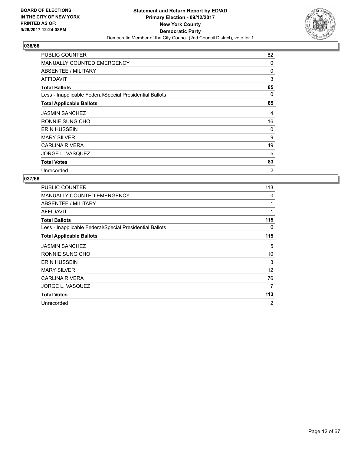

| <b>PUBLIC COUNTER</b>                                    | 82             |
|----------------------------------------------------------|----------------|
| MANUALLY COUNTED EMERGENCY                               | 0              |
| ABSENTEE / MILITARY                                      | 0              |
| <b>AFFIDAVIT</b>                                         | 3              |
| <b>Total Ballots</b>                                     | 85             |
| Less - Inapplicable Federal/Special Presidential Ballots | 0              |
| <b>Total Applicable Ballots</b>                          | 85             |
| <b>JASMIN SANCHEZ</b>                                    | 4              |
| RONNIE SUNG CHO                                          | 16             |
| <b>ERIN HUSSEIN</b>                                      | 0              |
| <b>MARY SILVER</b>                                       | 9              |
| <b>CARLINA RIVERA</b>                                    | 49             |
| JORGE L. VASQUEZ                                         | 5              |
| <b>Total Votes</b>                                       | 83             |
| Unrecorded                                               | $\overline{2}$ |

| <b>PUBLIC COUNTER</b>                                    | 113 |
|----------------------------------------------------------|-----|
| <b>MANUALLY COUNTED EMERGENCY</b>                        | 0   |
| ABSENTEE / MILITARY                                      | 1   |
| <b>AFFIDAVIT</b>                                         | 1   |
| <b>Total Ballots</b>                                     | 115 |
| Less - Inapplicable Federal/Special Presidential Ballots | 0   |
| <b>Total Applicable Ballots</b>                          | 115 |
| <b>JASMIN SANCHEZ</b>                                    | 5   |
| RONNIE SUNG CHO                                          | 10  |
| <b>ERIN HUSSEIN</b>                                      | 3   |
| <b>MARY SILVER</b>                                       | 12  |
| CARLINA RIVERA                                           | 76  |
| JORGE L. VASQUEZ                                         | 7   |
| <b>Total Votes</b>                                       | 113 |
| Unrecorded                                               | 2   |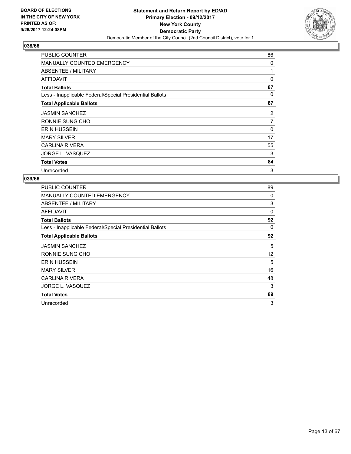

| <b>PUBLIC COUNTER</b>                                    | 86       |
|----------------------------------------------------------|----------|
| <b>MANUALLY COUNTED EMERGENCY</b>                        | 0        |
| ABSENTEE / MILITARY                                      | 1        |
| <b>AFFIDAVIT</b>                                         | $\Omega$ |
| <b>Total Ballots</b>                                     | 87       |
| Less - Inapplicable Federal/Special Presidential Ballots | 0        |
| <b>Total Applicable Ballots</b>                          | 87       |
| <b>JASMIN SANCHEZ</b>                                    | 2        |
| RONNIE SUNG CHO                                          | 7        |
| <b>ERIN HUSSEIN</b>                                      | 0        |
| <b>MARY SILVER</b>                                       | 17       |
| <b>CARLINA RIVERA</b>                                    | 55       |
| JORGE L. VASQUEZ                                         | 3        |
| <b>Total Votes</b>                                       | 84       |
| Unrecorded                                               | 3        |

| PUBLIC COUNTER                                           | 89 |
|----------------------------------------------------------|----|
| <b>MANUALLY COUNTED EMERGENCY</b>                        | 0  |
| ABSENTEE / MILITARY                                      | 3  |
| AFFIDAVIT                                                | 0  |
| <b>Total Ballots</b>                                     | 92 |
| Less - Inapplicable Federal/Special Presidential Ballots | 0  |
| <b>Total Applicable Ballots</b>                          | 92 |
| <b>JASMIN SANCHEZ</b>                                    | 5  |
| RONNIE SUNG CHO                                          | 12 |
| <b>ERIN HUSSEIN</b>                                      | 5  |
| <b>MARY SILVER</b>                                       | 16 |
| CARLINA RIVERA                                           | 48 |
| JORGE L. VASQUEZ                                         | 3  |
| <b>Total Votes</b>                                       | 89 |
| Unrecorded                                               | 3  |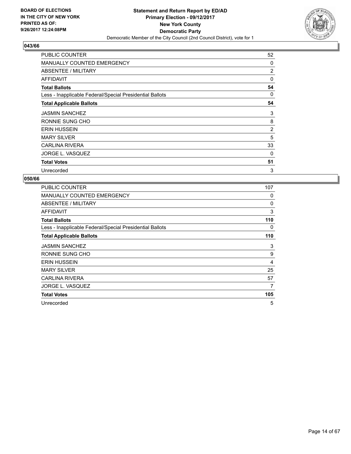

| <b>PUBLIC COUNTER</b>                                    | 52             |
|----------------------------------------------------------|----------------|
| <b>MANUALLY COUNTED EMERGENCY</b>                        | 0              |
| ABSENTEE / MILITARY                                      | 2              |
| <b>AFFIDAVIT</b>                                         | $\Omega$       |
| <b>Total Ballots</b>                                     | 54             |
| Less - Inapplicable Federal/Special Presidential Ballots | 0              |
| <b>Total Applicable Ballots</b>                          | 54             |
| <b>JASMIN SANCHEZ</b>                                    | 3              |
| RONNIE SUNG CHO                                          | 8              |
| <b>ERIN HUSSEIN</b>                                      | $\overline{2}$ |
| <b>MARY SILVER</b>                                       | 5              |
| <b>CARLINA RIVERA</b>                                    | 33             |
| JORGE L. VASQUEZ                                         | 0              |
| <b>Total Votes</b>                                       | 51             |
| Unrecorded                                               | 3              |

| <b>PUBLIC COUNTER</b>                                    | 107 |
|----------------------------------------------------------|-----|
| <b>MANUALLY COUNTED EMERGENCY</b>                        | 0   |
| ABSENTEE / MILITARY                                      | 0   |
| <b>AFFIDAVIT</b>                                         | 3   |
| <b>Total Ballots</b>                                     | 110 |
| Less - Inapplicable Federal/Special Presidential Ballots | 0   |
| <b>Total Applicable Ballots</b>                          | 110 |
| <b>JASMIN SANCHEZ</b>                                    | 3   |
| RONNIE SUNG CHO                                          | 9   |
| <b>ERIN HUSSEIN</b>                                      | 4   |
| <b>MARY SILVER</b>                                       | 25  |
| <b>CARLINA RIVERA</b>                                    | 57  |
| JORGE L. VASQUEZ                                         | 7   |
| <b>Total Votes</b>                                       | 105 |
| Unrecorded                                               | 5   |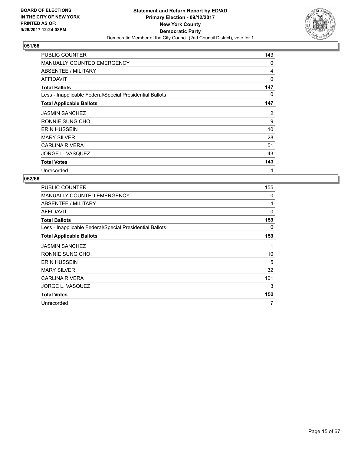

| <b>PUBLIC COUNTER</b>                                    | 143 |
|----------------------------------------------------------|-----|
| <b>MANUALLY COUNTED EMERGENCY</b>                        | 0   |
| ABSENTEE / MILITARY                                      | 4   |
| AFFIDAVIT                                                | 0   |
| <b>Total Ballots</b>                                     | 147 |
| Less - Inapplicable Federal/Special Presidential Ballots | 0   |
| <b>Total Applicable Ballots</b>                          | 147 |
| <b>JASMIN SANCHEZ</b>                                    | 2   |
| RONNIE SUNG CHO                                          | 9   |
| <b>ERIN HUSSEIN</b>                                      | 10  |
| <b>MARY SILVER</b>                                       | 28  |
| <b>CARLINA RIVERA</b>                                    | 51  |
| JORGE L. VASQUEZ                                         | 43  |
| <b>Total Votes</b>                                       | 143 |
| Unrecorded                                               | 4   |

| <b>PUBLIC COUNTER</b>                                    | 155 |
|----------------------------------------------------------|-----|
| <b>MANUALLY COUNTED EMERGENCY</b>                        | 0   |
| ABSENTEE / MILITARY                                      | 4   |
| AFFIDAVIT                                                | 0   |
| <b>Total Ballots</b>                                     | 159 |
| Less - Inapplicable Federal/Special Presidential Ballots | 0   |
| <b>Total Applicable Ballots</b>                          | 159 |
| <b>JASMIN SANCHEZ</b>                                    | 1   |
| RONNIE SUNG CHO                                          | 10  |
| <b>ERIN HUSSEIN</b>                                      | 5   |
| <b>MARY SILVER</b>                                       | 32  |
| <b>CARLINA RIVERA</b>                                    | 101 |
| JORGE L. VASQUEZ                                         | 3   |
| <b>Total Votes</b>                                       | 152 |
| Unrecorded                                               | 7   |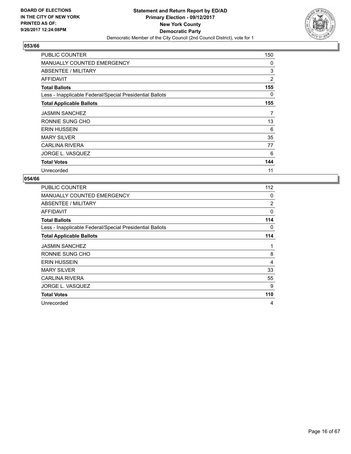

| <b>PUBLIC COUNTER</b>                                    | 150 |
|----------------------------------------------------------|-----|
| <b>MANUALLY COUNTED EMERGENCY</b>                        | 0   |
| ABSENTEE / MILITARY                                      | 3   |
| AFFIDAVIT                                                | 2   |
| <b>Total Ballots</b>                                     | 155 |
| Less - Inapplicable Federal/Special Presidential Ballots | 0   |
| <b>Total Applicable Ballots</b>                          | 155 |
| <b>JASMIN SANCHEZ</b>                                    | 7   |
| RONNIE SUNG CHO                                          | 13  |
| <b>ERIN HUSSEIN</b>                                      | 6   |
| <b>MARY SILVER</b>                                       | 35  |
| <b>CARLINA RIVERA</b>                                    | 77  |
| JORGE L. VASQUEZ                                         | 6   |
| <b>Total Votes</b>                                       | 144 |
| Unrecorded                                               | 11  |

| <b>PUBLIC COUNTER</b>                                    | 112            |
|----------------------------------------------------------|----------------|
| <b>MANUALLY COUNTED EMERGENCY</b>                        | 0              |
| ABSENTEE / MILITARY                                      | $\overline{2}$ |
| <b>AFFIDAVIT</b>                                         | 0              |
| <b>Total Ballots</b>                                     | 114            |
| Less - Inapplicable Federal/Special Presidential Ballots | 0              |
| <b>Total Applicable Ballots</b>                          | 114            |
| <b>JASMIN SANCHEZ</b>                                    | 1              |
| RONNIE SUNG CHO                                          | 8              |
| <b>ERIN HUSSEIN</b>                                      | 4              |
| <b>MARY SILVER</b>                                       | 33             |
| <b>CARLINA RIVERA</b>                                    | 55             |
| JORGE L. VASQUEZ                                         | 9              |
| <b>Total Votes</b>                                       | 110            |
| Unrecorded                                               | 4              |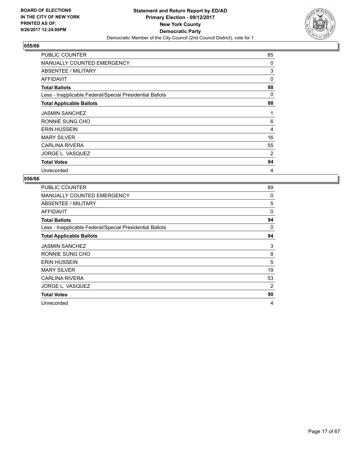

| <b>PUBLIC COUNTER</b>                                    | 85 |
|----------------------------------------------------------|----|
| MANUALLY COUNTED EMERGENCY                               | 0  |
| <b>ABSENTEE / MILITARY</b>                               | 3  |
| AFFIDAVIT                                                | 0  |
| <b>Total Ballots</b>                                     | 88 |
| Less - Inapplicable Federal/Special Presidential Ballots | 0  |
| <b>Total Applicable Ballots</b>                          | 88 |
| <b>JASMIN SANCHEZ</b>                                    | 1  |
| RONNIE SUNG CHO                                          | 6  |
| <b>ERIN HUSSEIN</b>                                      | 4  |
| <b>MARY SILVER</b>                                       | 16 |
| <b>CARLINA RIVERA</b>                                    | 55 |
| JORGE L. VASQUEZ                                         | 2  |
| <b>Total Votes</b>                                       | 84 |
| Unrecorded                                               | 4  |

| <b>PUBLIC COUNTER</b>                                    | 89       |
|----------------------------------------------------------|----------|
| <b>MANUALLY COUNTED EMERGENCY</b>                        | 0        |
| ABSENTEE / MILITARY                                      | 5        |
| AFFIDAVIT                                                | $\Omega$ |
| <b>Total Ballots</b>                                     | 94       |
| Less - Inapplicable Federal/Special Presidential Ballots | 0        |
| <b>Total Applicable Ballots</b>                          | 94       |
| <b>JASMIN SANCHEZ</b>                                    | 3        |
| RONNIE SUNG CHO                                          | 8        |
| <b>ERIN HUSSEIN</b>                                      | 5        |
| <b>MARY SILVER</b>                                       | 19       |
| <b>CARLINA RIVERA</b>                                    | 53       |
| JORGE L. VASQUEZ                                         | 2        |
| <b>Total Votes</b>                                       | 90       |
| Unrecorded                                               | 4        |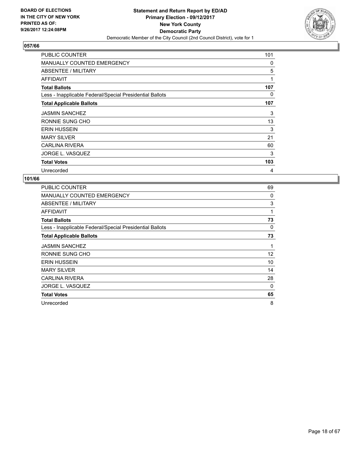

| <b>PUBLIC COUNTER</b>                                    | 101 |
|----------------------------------------------------------|-----|
| <b>MANUALLY COUNTED EMERGENCY</b>                        | 0   |
| ABSENTEE / MILITARY                                      | 5   |
| AFFIDAVIT                                                | 1   |
| <b>Total Ballots</b>                                     | 107 |
| Less - Inapplicable Federal/Special Presidential Ballots | 0   |
| <b>Total Applicable Ballots</b>                          | 107 |
| <b>JASMIN SANCHEZ</b>                                    | 3   |
| RONNIE SUNG CHO                                          | 13  |
| <b>ERIN HUSSEIN</b>                                      | 3   |
| <b>MARY SILVER</b>                                       | 21  |
| <b>CARLINA RIVERA</b>                                    | 60  |
| JORGE L. VASQUEZ                                         | 3   |
| <b>Total Votes</b>                                       | 103 |
| Unrecorded                                               | 4   |

| <b>PUBLIC COUNTER</b>                                    | 69 |
|----------------------------------------------------------|----|
| <b>MANUALLY COUNTED EMERGENCY</b>                        | 0  |
| ABSENTEE / MILITARY                                      | 3  |
| AFFIDAVIT                                                | 1  |
| <b>Total Ballots</b>                                     | 73 |
| Less - Inapplicable Federal/Special Presidential Ballots | 0  |
| <b>Total Applicable Ballots</b>                          | 73 |
| <b>JASMIN SANCHEZ</b>                                    | 1  |
| RONNIE SUNG CHO                                          | 12 |
| <b>ERIN HUSSEIN</b>                                      | 10 |
| <b>MARY SILVER</b>                                       | 14 |
| <b>CARLINA RIVERA</b>                                    | 28 |
| JORGE L. VASQUEZ                                         | 0  |
| <b>Total Votes</b>                                       | 65 |
| Unrecorded                                               | 8  |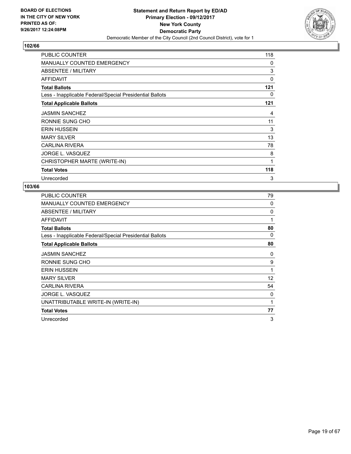

| <b>PUBLIC COUNTER</b>                                    | 118 |
|----------------------------------------------------------|-----|
| <b>MANUALLY COUNTED EMERGENCY</b>                        | 0   |
| ABSENTEE / MILITARY                                      | 3   |
| <b>AFFIDAVIT</b>                                         | 0   |
| <b>Total Ballots</b>                                     | 121 |
| Less - Inapplicable Federal/Special Presidential Ballots | 0   |
| <b>Total Applicable Ballots</b>                          | 121 |
| <b>JASMIN SANCHEZ</b>                                    | 4   |
| RONNIE SUNG CHO                                          | 11  |
| <b>ERIN HUSSEIN</b>                                      | 3   |
| <b>MARY SILVER</b>                                       | 13  |
| <b>CARLINA RIVERA</b>                                    | 78  |
| JORGE L. VASQUEZ                                         | 8   |
| CHRISTOPHER MARTE (WRITE-IN)                             | 1   |
| <b>Total Votes</b>                                       | 118 |
| Unrecorded                                               | 3   |

| <b>PUBLIC COUNTER</b>                                    | 79 |
|----------------------------------------------------------|----|
| <b>MANUALLY COUNTED EMERGENCY</b>                        | 0  |
| ABSENTEE / MILITARY                                      | 0  |
| <b>AFFIDAVIT</b>                                         | 1  |
| <b>Total Ballots</b>                                     | 80 |
| Less - Inapplicable Federal/Special Presidential Ballots | 0  |
| <b>Total Applicable Ballots</b>                          | 80 |
| <b>JASMIN SANCHEZ</b>                                    | 0  |
| RONNIE SUNG CHO                                          | 9  |
| <b>ERIN HUSSEIN</b>                                      | 1  |
| <b>MARY SILVER</b>                                       | 12 |
| <b>CARLINA RIVERA</b>                                    | 54 |
| JORGE L. VASQUEZ                                         | 0  |
| UNATTRIBUTABLE WRITE-IN (WRITE-IN)                       | 1  |
| <b>Total Votes</b>                                       | 77 |
| Unrecorded                                               | 3  |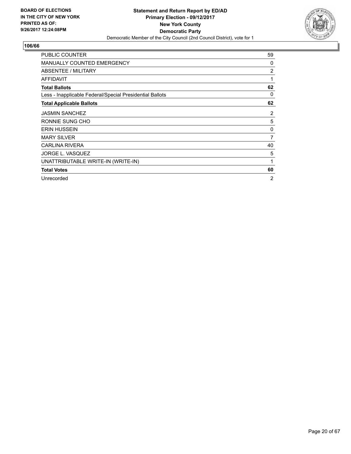

| <b>PUBLIC COUNTER</b>                                    | 59             |
|----------------------------------------------------------|----------------|
| <b>MANUALLY COUNTED EMERGENCY</b>                        | 0              |
| ABSENTEE / MILITARY                                      | $\overline{2}$ |
| <b>AFFIDAVIT</b>                                         | 1              |
| <b>Total Ballots</b>                                     | 62             |
| Less - Inapplicable Federal/Special Presidential Ballots | 0              |
| <b>Total Applicable Ballots</b>                          | 62             |
| <b>JASMIN SANCHEZ</b>                                    | 2              |
| RONNIE SUNG CHO                                          | 5              |
| <b>ERIN HUSSEIN</b>                                      | 0              |
| <b>MARY SILVER</b>                                       | $\overline{7}$ |
| <b>CARLINA RIVERA</b>                                    | 40             |
| JORGE L. VASQUEZ                                         | 5              |
| UNATTRIBUTABLE WRITE-IN (WRITE-IN)                       | 1              |
| <b>Total Votes</b>                                       | 60             |
| Unrecorded                                               | 2              |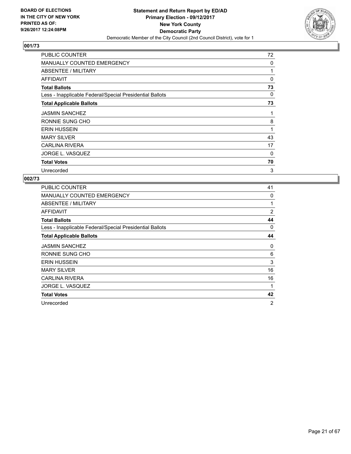

| <b>PUBLIC COUNTER</b>                                    | 72 |
|----------------------------------------------------------|----|
| <b>MANUALLY COUNTED EMERGENCY</b>                        | 0  |
| ABSENTEE / MILITARY                                      | 1  |
| <b>AFFIDAVIT</b>                                         | 0  |
| <b>Total Ballots</b>                                     | 73 |
| Less - Inapplicable Federal/Special Presidential Ballots | 0  |
| <b>Total Applicable Ballots</b>                          | 73 |
| <b>JASMIN SANCHEZ</b>                                    | 1  |
| RONNIE SUNG CHO                                          | 8  |
| <b>ERIN HUSSEIN</b>                                      | 1  |
| <b>MARY SILVER</b>                                       | 43 |
| <b>CARLINA RIVERA</b>                                    | 17 |
| JORGE L. VASQUEZ                                         | 0  |
| <b>Total Votes</b>                                       | 70 |
| Unrecorded                                               | 3  |

| PUBLIC COUNTER                                           | 41             |
|----------------------------------------------------------|----------------|
| <b>MANUALLY COUNTED EMERGENCY</b>                        | 0              |
| ABSENTEE / MILITARY                                      | 1              |
| AFFIDAVIT                                                | 2              |
| <b>Total Ballots</b>                                     | 44             |
| Less - Inapplicable Federal/Special Presidential Ballots | 0              |
| <b>Total Applicable Ballots</b>                          | 44             |
| <b>JASMIN SANCHEZ</b>                                    | 0              |
| RONNIE SUNG CHO                                          | 6              |
| <b>ERIN HUSSEIN</b>                                      | 3              |
| <b>MARY SILVER</b>                                       | 16             |
| <b>CARLINA RIVERA</b>                                    | 16             |
| JORGE L. VASQUEZ                                         | 1              |
| <b>Total Votes</b>                                       | 42             |
| Unrecorded                                               | $\overline{2}$ |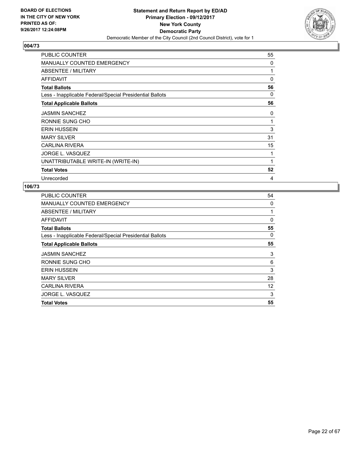

| <b>PUBLIC COUNTER</b>                                    | 55 |
|----------------------------------------------------------|----|
| <b>MANUALLY COUNTED EMERGENCY</b>                        | 0  |
| ABSENTEE / MILITARY                                      | 1  |
| <b>AFFIDAVIT</b>                                         | 0  |
| <b>Total Ballots</b>                                     | 56 |
| Less - Inapplicable Federal/Special Presidential Ballots | 0  |
| <b>Total Applicable Ballots</b>                          | 56 |
| <b>JASMIN SANCHEZ</b>                                    | 0  |
| RONNIE SUNG CHO                                          | 1  |
| <b>ERIN HUSSEIN</b>                                      | 3  |
| <b>MARY SILVER</b>                                       | 31 |
| <b>CARLINA RIVERA</b>                                    | 15 |
| JORGE L. VASQUEZ                                         | 1  |
| UNATTRIBUTABLE WRITE-IN (WRITE-IN)                       | 1  |
| <b>Total Votes</b>                                       | 52 |
| Unrecorded                                               | 4  |

| PUBLIC COUNTER                                           | 54 |
|----------------------------------------------------------|----|
| MANUALLY COUNTED EMERGENCY                               | 0  |
| ABSENTEE / MILITARY                                      |    |
| AFFIDAVIT                                                | 0  |
| <b>Total Ballots</b>                                     | 55 |
| Less - Inapplicable Federal/Special Presidential Ballots | 0  |
| <b>Total Applicable Ballots</b>                          | 55 |
| <b>JASMIN SANCHEZ</b>                                    | 3  |
| RONNIE SUNG CHO                                          | 6  |
| <b>ERIN HUSSEIN</b>                                      | 3  |
| <b>MARY SILVER</b>                                       | 28 |
| <b>CARLINA RIVERA</b>                                    | 12 |
| JORGE L. VASQUEZ                                         | 3  |
| <b>Total Votes</b>                                       | 55 |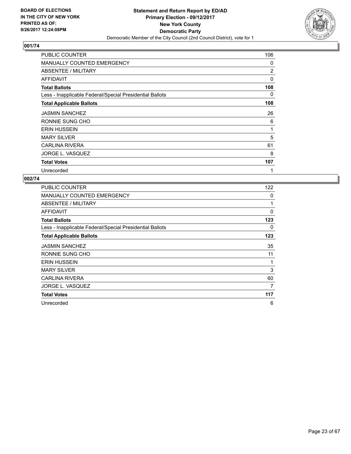

| <b>PUBLIC COUNTER</b>                                    | 106      |
|----------------------------------------------------------|----------|
| <b>MANUALLY COUNTED EMERGENCY</b>                        | 0        |
| ABSENTEE / MILITARY                                      | 2        |
| <b>AFFIDAVIT</b>                                         | $\Omega$ |
| <b>Total Ballots</b>                                     | 108      |
| Less - Inapplicable Federal/Special Presidential Ballots | 0        |
| <b>Total Applicable Ballots</b>                          | 108      |
| <b>JASMIN SANCHEZ</b>                                    | 26       |
| RONNIE SUNG CHO                                          | 6        |
| <b>ERIN HUSSEIN</b>                                      | 1        |
| <b>MARY SILVER</b>                                       | 5        |
| <b>CARLINA RIVERA</b>                                    | 61       |
| JORGE L. VASQUEZ                                         | 8        |
| <b>Total Votes</b>                                       | 107      |
| Unrecorded                                               | 1        |

| <b>PUBLIC COUNTER</b>                                    | 122         |
|----------------------------------------------------------|-------------|
| <b>MANUALLY COUNTED EMERGENCY</b>                        | 0           |
| ABSENTEE / MILITARY                                      |             |
| <b>AFFIDAVIT</b>                                         | $\mathbf 0$ |
| <b>Total Ballots</b>                                     | 123         |
| Less - Inapplicable Federal/Special Presidential Ballots | 0           |
| <b>Total Applicable Ballots</b>                          | 123         |
| <b>JASMIN SANCHEZ</b>                                    | 35          |
| RONNIE SUNG CHO                                          | 11          |
| <b>ERIN HUSSEIN</b>                                      |             |
| <b>MARY SILVER</b>                                       | 3           |
| <b>CARLINA RIVERA</b>                                    | 60          |
| JORGE L. VASQUEZ                                         | 7           |
| <b>Total Votes</b>                                       | 117         |
| Unrecorded                                               | 6           |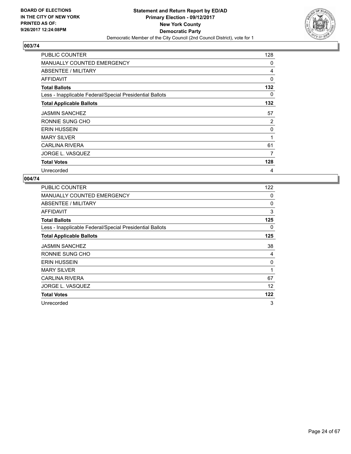

| <b>PUBLIC COUNTER</b>                                    | 128      |
|----------------------------------------------------------|----------|
| <b>MANUALLY COUNTED EMERGENCY</b>                        | 0        |
| ABSENTEE / MILITARY                                      | 4        |
| <b>AFFIDAVIT</b>                                         | $\Omega$ |
| <b>Total Ballots</b>                                     | 132      |
| Less - Inapplicable Federal/Special Presidential Ballots | 0        |
| <b>Total Applicable Ballots</b>                          | 132      |
| <b>JASMIN SANCHEZ</b>                                    | 57       |
| RONNIE SUNG CHO                                          | 2        |
| <b>ERIN HUSSEIN</b>                                      | 0        |
| <b>MARY SILVER</b>                                       | 1        |
| <b>CARLINA RIVERA</b>                                    | 61       |
| JORGE L. VASQUEZ                                         | 7        |
| <b>Total Votes</b>                                       | 128      |
| Unrecorded                                               | 4        |

| <b>PUBLIC COUNTER</b>                                    | 122 |
|----------------------------------------------------------|-----|
| <b>MANUALLY COUNTED EMERGENCY</b>                        | 0   |
| ABSENTEE / MILITARY                                      | 0   |
| AFFIDAVIT                                                | 3   |
| <b>Total Ballots</b>                                     | 125 |
| Less - Inapplicable Federal/Special Presidential Ballots | 0   |
| <b>Total Applicable Ballots</b>                          | 125 |
| <b>JASMIN SANCHEZ</b>                                    | 38  |
| RONNIE SUNG CHO                                          | 4   |
| <b>ERIN HUSSEIN</b>                                      | 0   |
| <b>MARY SILVER</b>                                       | 1   |
| <b>CARLINA RIVERA</b>                                    | 67  |
| JORGE L. VASQUEZ                                         | 12  |
| <b>Total Votes</b>                                       | 122 |
| Unrecorded                                               | 3   |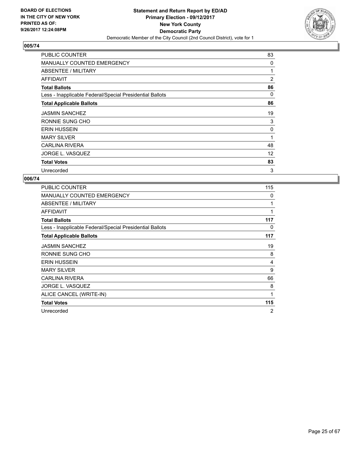

| <b>PUBLIC COUNTER</b>                                    | 83 |
|----------------------------------------------------------|----|
| <b>MANUALLY COUNTED EMERGENCY</b>                        | 0  |
| ABSENTEE / MILITARY                                      | 1  |
| AFFIDAVIT                                                | 2  |
| <b>Total Ballots</b>                                     | 86 |
| Less - Inapplicable Federal/Special Presidential Ballots | 0  |
| <b>Total Applicable Ballots</b>                          | 86 |
| <b>JASMIN SANCHEZ</b>                                    | 19 |
| RONNIE SUNG CHO                                          | 3  |
| <b>ERIN HUSSEIN</b>                                      | 0  |
| <b>MARY SILVER</b>                                       | 1  |
| <b>CARLINA RIVERA</b>                                    | 48 |
| JORGE L. VASQUEZ                                         | 12 |
| <b>Total Votes</b>                                       | 83 |
| Unrecorded                                               | 3  |

| PUBLIC COUNTER                                           | 115 |
|----------------------------------------------------------|-----|
| <b>MANUALLY COUNTED EMERGENCY</b>                        | 0   |
| ABSENTEE / MILITARY                                      | 1   |
| AFFIDAVIT                                                | 1   |
| <b>Total Ballots</b>                                     | 117 |
| Less - Inapplicable Federal/Special Presidential Ballots | 0   |
| <b>Total Applicable Ballots</b>                          | 117 |
| <b>JASMIN SANCHEZ</b>                                    | 19  |
| RONNIE SUNG CHO                                          | 8   |
| <b>ERIN HUSSEIN</b>                                      | 4   |
| <b>MARY SILVER</b>                                       | 9   |
| <b>CARLINA RIVERA</b>                                    | 66  |
| JORGE L. VASQUEZ                                         | 8   |
| ALICE CANCEL (WRITE-IN)                                  | 1   |
| <b>Total Votes</b>                                       | 115 |
| Unrecorded                                               | 2   |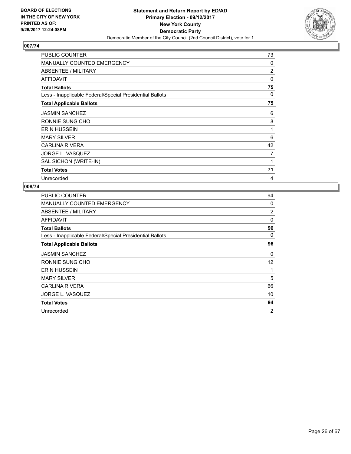

| PUBLIC COUNTER                                           | 73             |
|----------------------------------------------------------|----------------|
| <b>MANUALLY COUNTED EMERGENCY</b>                        | 0              |
| ABSENTEE / MILITARY                                      | $\overline{2}$ |
| AFFIDAVIT                                                | 0              |
| <b>Total Ballots</b>                                     | 75             |
| Less - Inapplicable Federal/Special Presidential Ballots | 0              |
| <b>Total Applicable Ballots</b>                          | 75             |
| <b>JASMIN SANCHEZ</b>                                    | 6              |
| RONNIE SUNG CHO                                          | 8              |
| <b>ERIN HUSSEIN</b>                                      | 1              |
| <b>MARY SILVER</b>                                       | 6              |
| <b>CARLINA RIVERA</b>                                    | 42             |
| JORGE L. VASQUEZ                                         | $\overline{7}$ |
| SAL SICHON (WRITE-IN)                                    | 1              |
| <b>Total Votes</b>                                       | 71             |
| Unrecorded                                               | 4              |

| PUBLIC COUNTER                                           | 94 |
|----------------------------------------------------------|----|
| MANUALLY COUNTED EMERGENCY                               | 0  |
| ABSENTEE / MILITARY                                      | 2  |
| AFFIDAVIT                                                | 0  |
| <b>Total Ballots</b>                                     | 96 |
| Less - Inapplicable Federal/Special Presidential Ballots | 0  |
| <b>Total Applicable Ballots</b>                          | 96 |
| <b>JASMIN SANCHEZ</b>                                    | 0  |
| RONNIE SUNG CHO                                          | 12 |
| <b>ERIN HUSSEIN</b>                                      | 1  |
| <b>MARY SILVER</b>                                       | 5  |
| <b>CARLINA RIVERA</b>                                    | 66 |
| <b>JORGE L. VASQUEZ</b>                                  | 10 |
| <b>Total Votes</b>                                       | 94 |
| Unrecorded                                               | 2  |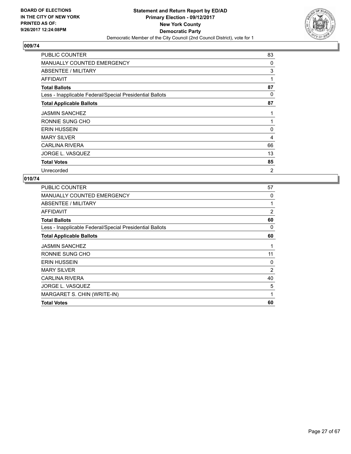

| <b>PUBLIC COUNTER</b>                                    | 83 |
|----------------------------------------------------------|----|
| <b>MANUALLY COUNTED EMERGENCY</b>                        | 0  |
| ABSENTEE / MILITARY                                      | 3  |
| <b>AFFIDAVIT</b>                                         | 1  |
| <b>Total Ballots</b>                                     | 87 |
| Less - Inapplicable Federal/Special Presidential Ballots | 0  |
| <b>Total Applicable Ballots</b>                          | 87 |
| <b>JASMIN SANCHEZ</b>                                    | 1  |
| RONNIE SUNG CHO                                          | 1  |
| <b>ERIN HUSSEIN</b>                                      | 0  |
| <b>MARY SILVER</b>                                       | 4  |
| <b>CARLINA RIVERA</b>                                    | 66 |
| JORGE L. VASQUEZ                                         | 13 |
| <b>Total Votes</b>                                       | 85 |
| Unrecorded                                               | 2  |

| <b>Total Votes</b>                                       | 60             |
|----------------------------------------------------------|----------------|
| MARGARET S. CHIN (WRITE-IN)                              | 1              |
| JORGE L. VASQUEZ                                         | 5              |
| <b>CARLINA RIVERA</b>                                    | 40             |
| <b>MARY SILVER</b>                                       | 2              |
| <b>ERIN HUSSEIN</b>                                      | 0              |
| RONNIE SUNG CHO                                          | 11             |
| <b>JASMIN SANCHEZ</b>                                    |                |
| <b>Total Applicable Ballots</b>                          | 60             |
| Less - Inapplicable Federal/Special Presidential Ballots | 0              |
| <b>Total Ballots</b>                                     | 60             |
| AFFIDAVIT                                                | $\overline{2}$ |
| ABSENTEE / MILITARY                                      | 1              |
| <b>MANUALLY COUNTED EMERGENCY</b>                        | 0              |
| <b>PUBLIC COUNTER</b>                                    | 57             |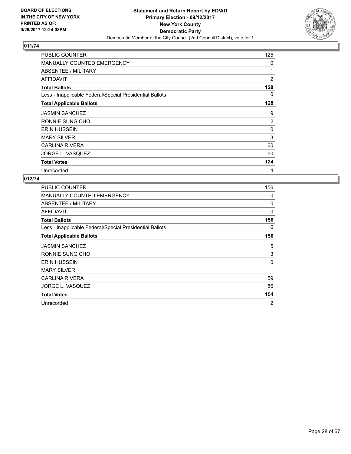

| <b>PUBLIC COUNTER</b>                                    | 125 |
|----------------------------------------------------------|-----|
| <b>MANUALLY COUNTED EMERGENCY</b>                        | 0   |
| ABSENTEE / MILITARY                                      | 1   |
| AFFIDAVIT                                                | 2   |
| <b>Total Ballots</b>                                     | 128 |
| Less - Inapplicable Federal/Special Presidential Ballots | 0   |
| <b>Total Applicable Ballots</b>                          | 128 |
| <b>JASMIN SANCHEZ</b>                                    | 9   |
| RONNIE SUNG CHO                                          | 2   |
| <b>ERIN HUSSEIN</b>                                      | 0   |
| <b>MARY SILVER</b>                                       | 3   |
| <b>CARLINA RIVERA</b>                                    | 60  |
| JORGE L. VASQUEZ                                         | 50  |
| <b>Total Votes</b>                                       | 124 |
| Unrecorded                                               | 4   |

| PUBLIC COUNTER                                           | 156            |
|----------------------------------------------------------|----------------|
| <b>MANUALLY COUNTED EMERGENCY</b>                        | 0              |
| ABSENTEE / MILITARY                                      | 0              |
| AFFIDAVIT                                                | 0              |
| <b>Total Ballots</b>                                     | 156            |
| Less - Inapplicable Federal/Special Presidential Ballots | 0              |
| <b>Total Applicable Ballots</b>                          | 156            |
| <b>JASMIN SANCHEZ</b>                                    | 5              |
| RONNIE SUNG CHO                                          | 3              |
| <b>ERIN HUSSEIN</b>                                      | 0              |
| <b>MARY SILVER</b>                                       | 1              |
| <b>CARLINA RIVERA</b>                                    | 59             |
| JORGE L. VASQUEZ                                         | 86             |
| <b>Total Votes</b>                                       | 154            |
| Unrecorded                                               | $\overline{2}$ |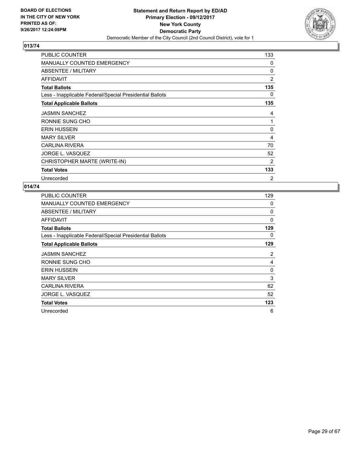

| <b>PUBLIC COUNTER</b>                                    | 133            |
|----------------------------------------------------------|----------------|
| <b>MANUALLY COUNTED EMERGENCY</b>                        | 0              |
| ABSENTEE / MILITARY                                      | 0              |
| AFFIDAVIT                                                | $\overline{2}$ |
| <b>Total Ballots</b>                                     | 135            |
| Less - Inapplicable Federal/Special Presidential Ballots | 0              |
| <b>Total Applicable Ballots</b>                          | 135            |
| <b>JASMIN SANCHEZ</b>                                    | 4              |
| RONNIE SUNG CHO                                          | 1              |
| <b>ERIN HUSSEIN</b>                                      | 0              |
| <b>MARY SILVER</b>                                       | 4              |
| <b>CARLINA RIVERA</b>                                    | 70             |
| JORGE L. VASQUEZ                                         | 52             |
| CHRISTOPHER MARTE (WRITE-IN)                             | 2              |
| <b>Total Votes</b>                                       | 133            |
| Unrecorded                                               | 2              |

| PUBLIC COUNTER                                           | 129 |
|----------------------------------------------------------|-----|
| MANUALLY COUNTED EMERGENCY                               | 0   |
| ABSENTEE / MILITARY                                      | 0   |
| <b>AFFIDAVIT</b>                                         | 0   |
| <b>Total Ballots</b>                                     | 129 |
| Less - Inapplicable Federal/Special Presidential Ballots | 0   |
| <b>Total Applicable Ballots</b>                          | 129 |
| <b>JASMIN SANCHEZ</b>                                    | 2   |
| RONNIE SUNG CHO                                          | 4   |
| <b>ERIN HUSSEIN</b>                                      | 0   |
| <b>MARY SILVER</b>                                       | 3   |
| <b>CARLINA RIVERA</b>                                    | 62  |
| JORGE L. VASQUEZ                                         | 52  |
| <b>Total Votes</b>                                       | 123 |
| Unrecorded                                               | 6   |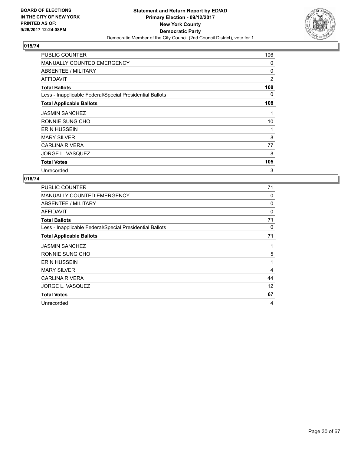

| <b>PUBLIC COUNTER</b>                                    | 106 |
|----------------------------------------------------------|-----|
| <b>MANUALLY COUNTED EMERGENCY</b>                        | 0   |
| ABSENTEE / MILITARY                                      | 0   |
| AFFIDAVIT                                                | 2   |
| <b>Total Ballots</b>                                     | 108 |
| Less - Inapplicable Federal/Special Presidential Ballots | 0   |
| <b>Total Applicable Ballots</b>                          | 108 |
| <b>JASMIN SANCHEZ</b>                                    | 1   |
| RONNIE SUNG CHO                                          | 10  |
| <b>ERIN HUSSEIN</b>                                      | 1   |
| <b>MARY SILVER</b>                                       | 8   |
| <b>CARLINA RIVERA</b>                                    | 77  |
| JORGE L. VASQUEZ                                         | 8   |
| <b>Total Votes</b>                                       | 105 |
| Unrecorded                                               | 3   |

| PUBLIC COUNTER                                           | 71 |
|----------------------------------------------------------|----|
| <b>MANUALLY COUNTED EMERGENCY</b>                        | 0  |
| ABSENTEE / MILITARY                                      | 0  |
| AFFIDAVIT                                                | 0  |
| <b>Total Ballots</b>                                     | 71 |
| Less - Inapplicable Federal/Special Presidential Ballots | 0  |
| <b>Total Applicable Ballots</b>                          | 71 |
| <b>JASMIN SANCHEZ</b>                                    | 1  |
| RONNIE SUNG CHO                                          | 5  |
| <b>ERIN HUSSEIN</b>                                      | 1  |
| <b>MARY SILVER</b>                                       | 4  |
| <b>CARLINA RIVERA</b>                                    | 44 |
| JORGE L. VASQUEZ                                         | 12 |
| <b>Total Votes</b>                                       | 67 |
| Unrecorded                                               | 4  |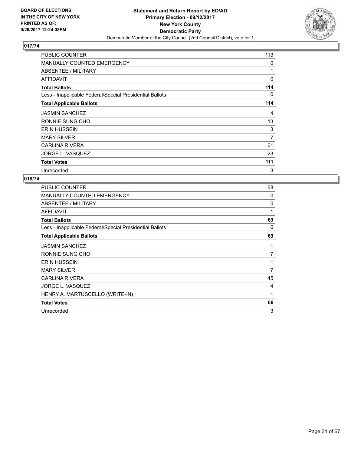

| <b>PUBLIC COUNTER</b>                                    | 113 |
|----------------------------------------------------------|-----|
| <b>MANUALLY COUNTED EMERGENCY</b>                        | 0   |
| ABSENTEE / MILITARY                                      | 1   |
| AFFIDAVIT                                                | 0   |
| <b>Total Ballots</b>                                     | 114 |
| Less - Inapplicable Federal/Special Presidential Ballots | 0   |
| <b>Total Applicable Ballots</b>                          | 114 |
| <b>JASMIN SANCHEZ</b>                                    | 4   |
| RONNIE SUNG CHO                                          | 13  |
| <b>ERIN HUSSEIN</b>                                      | 3   |
| <b>MARY SILVER</b>                                       | 7   |
| <b>CARLINA RIVERA</b>                                    | 61  |
| JORGE L. VASQUEZ                                         | 23  |
| <b>Total Votes</b>                                       | 111 |
| Unrecorded                                               | 3   |

| PUBLIC COUNTER                                           | 68 |
|----------------------------------------------------------|----|
| <b>MANUALLY COUNTED EMERGENCY</b>                        | 0  |
| ABSENTEE / MILITARY                                      | 0  |
| AFFIDAVIT                                                | 1  |
| <b>Total Ballots</b>                                     | 69 |
| Less - Inapplicable Federal/Special Presidential Ballots | 0  |
| <b>Total Applicable Ballots</b>                          | 69 |
| <b>JASMIN SANCHEZ</b>                                    | 1  |
| RONNIE SUNG CHO                                          | 7  |
| <b>ERIN HUSSEIN</b>                                      | 1  |
| <b>MARY SILVER</b>                                       | 7  |
| <b>CARLINA RIVERA</b>                                    | 45 |
| <b>JORGE L. VASQUEZ</b>                                  | 4  |
| HENRY A. MARTUSCELLO (WRITE-IN)                          | 1  |
| <b>Total Votes</b>                                       | 66 |
| Unrecorded                                               | 3  |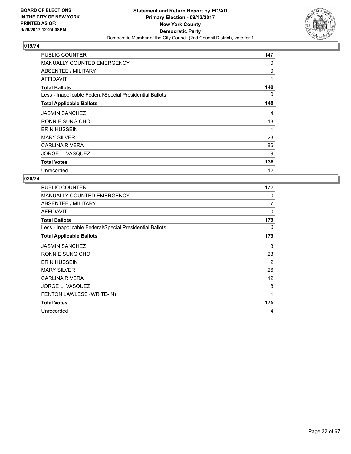

| <b>PUBLIC COUNTER</b>                                    | 147 |
|----------------------------------------------------------|-----|
| <b>MANUALLY COUNTED EMERGENCY</b>                        | 0   |
| ABSENTEE / MILITARY                                      | 0   |
| <b>AFFIDAVIT</b>                                         | 1   |
| <b>Total Ballots</b>                                     | 148 |
| Less - Inapplicable Federal/Special Presidential Ballots | 0   |
| <b>Total Applicable Ballots</b>                          | 148 |
| <b>JASMIN SANCHEZ</b>                                    | 4   |
| RONNIE SUNG CHO                                          | 13  |
| <b>ERIN HUSSEIN</b>                                      | 1   |
| <b>MARY SILVER</b>                                       | 23  |
| <b>CARLINA RIVERA</b>                                    | 86  |
| JORGE L. VASQUEZ                                         | 9   |
| <b>Total Votes</b>                                       | 136 |
| Unrecorded                                               | 12  |

| PUBLIC COUNTER                                           | 172 |
|----------------------------------------------------------|-----|
| <b>MANUALLY COUNTED EMERGENCY</b>                        | 0   |
| ABSENTEE / MILITARY                                      | 7   |
| <b>AFFIDAVIT</b>                                         | 0   |
| <b>Total Ballots</b>                                     | 179 |
| Less - Inapplicable Federal/Special Presidential Ballots | 0   |
| <b>Total Applicable Ballots</b>                          | 179 |
| <b>JASMIN SANCHEZ</b>                                    | 3   |
| RONNIE SUNG CHO                                          | 23  |
| <b>ERIN HUSSEIN</b>                                      | 2   |
| <b>MARY SILVER</b>                                       | 26  |
| CARLINA RIVERA                                           | 112 |
| JORGE L. VASQUEZ                                         | 8   |
| FENTON LAWLESS (WRITE-IN)                                | 1   |
| <b>Total Votes</b>                                       | 175 |
| Unrecorded                                               | 4   |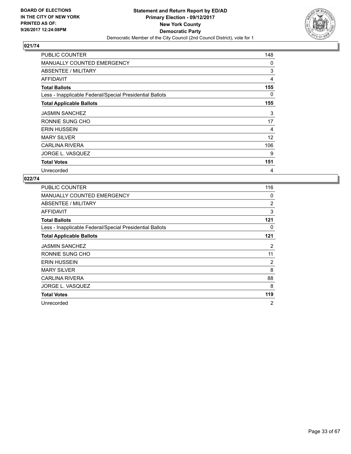

| <b>PUBLIC COUNTER</b>                                    | 148 |
|----------------------------------------------------------|-----|
| <b>MANUALLY COUNTED EMERGENCY</b>                        | 0   |
| ABSENTEE / MILITARY                                      | 3   |
| <b>AFFIDAVIT</b>                                         | 4   |
| <b>Total Ballots</b>                                     | 155 |
| Less - Inapplicable Federal/Special Presidential Ballots | 0   |
| <b>Total Applicable Ballots</b>                          | 155 |
| <b>JASMIN SANCHEZ</b>                                    | 3   |
| RONNIE SUNG CHO                                          | 17  |
| <b>ERIN HUSSEIN</b>                                      | 4   |
| <b>MARY SILVER</b>                                       | 12  |
| <b>CARLINA RIVERA</b>                                    | 106 |
| JORGE L. VASQUEZ                                         | 9   |
| <b>Total Votes</b>                                       | 151 |
| Unrecorded                                               | 4   |

| <b>PUBLIC COUNTER</b>                                    | 116 |
|----------------------------------------------------------|-----|
| <b>MANUALLY COUNTED EMERGENCY</b>                        | 0   |
| ABSENTEE / MILITARY                                      | 2   |
| AFFIDAVIT                                                | 3   |
| <b>Total Ballots</b>                                     | 121 |
| Less - Inapplicable Federal/Special Presidential Ballots | 0   |
| <b>Total Applicable Ballots</b>                          | 121 |
| <b>JASMIN SANCHEZ</b>                                    | 2   |
| RONNIE SUNG CHO                                          | 11  |
| <b>ERIN HUSSEIN</b>                                      | 2   |
| <b>MARY SILVER</b>                                       | 8   |
| <b>CARLINA RIVERA</b>                                    | 88  |
| JORGE L. VASQUEZ                                         | 8   |
| <b>Total Votes</b>                                       | 119 |
| Unrecorded                                               | 2   |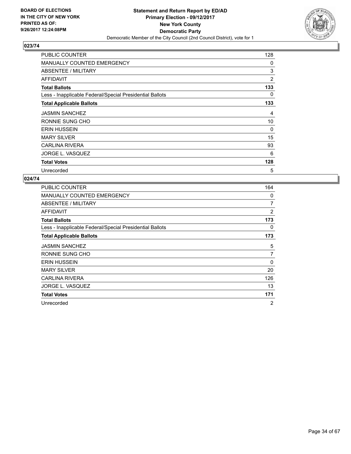

| <b>PUBLIC COUNTER</b>                                    | 128 |
|----------------------------------------------------------|-----|
| <b>MANUALLY COUNTED EMERGENCY</b>                        | 0   |
| ABSENTEE / MILITARY                                      | 3   |
| <b>AFFIDAVIT</b>                                         | 2   |
| <b>Total Ballots</b>                                     | 133 |
| Less - Inapplicable Federal/Special Presidential Ballots | 0   |
| <b>Total Applicable Ballots</b>                          | 133 |
| <b>JASMIN SANCHEZ</b>                                    | 4   |
| RONNIE SUNG CHO                                          | 10  |
| <b>ERIN HUSSEIN</b>                                      | 0   |
| <b>MARY SILVER</b>                                       | 15  |
| <b>CARLINA RIVERA</b>                                    | 93  |
| JORGE L. VASQUEZ                                         | 6   |
| <b>Total Votes</b>                                       | 128 |
| Unrecorded                                               | 5   |

| <b>PUBLIC COUNTER</b>                                    | 164            |
|----------------------------------------------------------|----------------|
| <b>MANUALLY COUNTED EMERGENCY</b>                        | 0              |
| ABSENTEE / MILITARY                                      | 7              |
| AFFIDAVIT                                                | $\overline{2}$ |
| <b>Total Ballots</b>                                     | 173            |
| Less - Inapplicable Federal/Special Presidential Ballots | 0              |
| <b>Total Applicable Ballots</b>                          | 173            |
| <b>JASMIN SANCHEZ</b>                                    | 5              |
| RONNIE SUNG CHO                                          | 7              |
| <b>ERIN HUSSEIN</b>                                      | 0              |
| <b>MARY SILVER</b>                                       | 20             |
| <b>CARLINA RIVERA</b>                                    | 126            |
| JORGE L. VASQUEZ                                         | 13             |
| <b>Total Votes</b>                                       | 171            |
| Unrecorded                                               | 2              |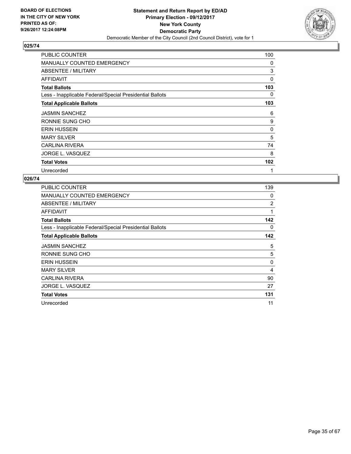

| <b>PUBLIC COUNTER</b>                                    | 100 |
|----------------------------------------------------------|-----|
| <b>MANUALLY COUNTED EMERGENCY</b>                        | 0   |
| ABSENTEE / MILITARY                                      | 3   |
| AFFIDAVIT                                                | 0   |
| <b>Total Ballots</b>                                     | 103 |
| Less - Inapplicable Federal/Special Presidential Ballots | 0   |
| <b>Total Applicable Ballots</b>                          | 103 |
| <b>JASMIN SANCHEZ</b>                                    | 6   |
| RONNIE SUNG CHO                                          | 9   |
| <b>ERIN HUSSEIN</b>                                      | 0   |
| <b>MARY SILVER</b>                                       | 5   |
| <b>CARLINA RIVERA</b>                                    | 74  |
| JORGE L. VASQUEZ                                         | 8   |
| <b>Total Votes</b>                                       | 102 |
| Unrecorded                                               | 1   |

| <b>PUBLIC COUNTER</b>                                    | 139 |
|----------------------------------------------------------|-----|
| <b>MANUALLY COUNTED EMERGENCY</b>                        | 0   |
| ABSENTEE / MILITARY                                      | 2   |
| AFFIDAVIT                                                | 1   |
| <b>Total Ballots</b>                                     | 142 |
| Less - Inapplicable Federal/Special Presidential Ballots | 0   |
| <b>Total Applicable Ballots</b>                          | 142 |
| <b>JASMIN SANCHEZ</b>                                    | 5   |
| RONNIE SUNG CHO                                          | 5   |
| <b>ERIN HUSSEIN</b>                                      | 0   |
| <b>MARY SILVER</b>                                       | 4   |
| <b>CARLINA RIVERA</b>                                    | 90  |
| JORGE L. VASQUEZ                                         | 27  |
| <b>Total Votes</b>                                       | 131 |
| Unrecorded                                               | 11  |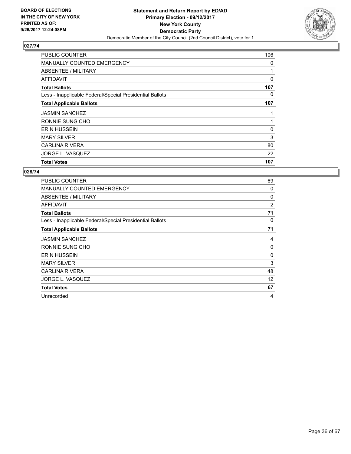

| <b>PUBLIC COUNTER</b>                                    | 106 |
|----------------------------------------------------------|-----|
| <b>MANUALLY COUNTED EMERGENCY</b>                        | 0   |
| ABSENTEE / MILITARY                                      |     |
| AFFIDAVIT                                                | 0   |
| <b>Total Ballots</b>                                     | 107 |
| Less - Inapplicable Federal/Special Presidential Ballots | 0   |
| <b>Total Applicable Ballots</b>                          | 107 |
| <b>JASMIN SANCHEZ</b>                                    | 1   |
| RONNIE SUNG CHO                                          |     |
| <b>ERIN HUSSEIN</b>                                      | 0   |
| <b>MARY SILVER</b>                                       | 3   |
| <b>CARLINA RIVERA</b>                                    | 80  |
| JORGE L. VASQUEZ                                         | 22  |
| <b>Total Votes</b>                                       | 107 |

| <b>PUBLIC COUNTER</b>                                    | 69 |
|----------------------------------------------------------|----|
| <b>MANUALLY COUNTED EMERGENCY</b>                        | 0  |
| ABSENTEE / MILITARY                                      | 0  |
| <b>AFFIDAVIT</b>                                         | 2  |
| <b>Total Ballots</b>                                     | 71 |
| Less - Inapplicable Federal/Special Presidential Ballots | 0  |
| <b>Total Applicable Ballots</b>                          | 71 |
| <b>JASMIN SANCHEZ</b>                                    | 4  |
| RONNIE SUNG CHO                                          | 0  |
| <b>ERIN HUSSEIN</b>                                      | 0  |
| <b>MARY SILVER</b>                                       | 3  |
| <b>CARLINA RIVERA</b>                                    | 48 |
| JORGE L. VASQUEZ                                         | 12 |
| <b>Total Votes</b>                                       | 67 |
| Unrecorded                                               | 4  |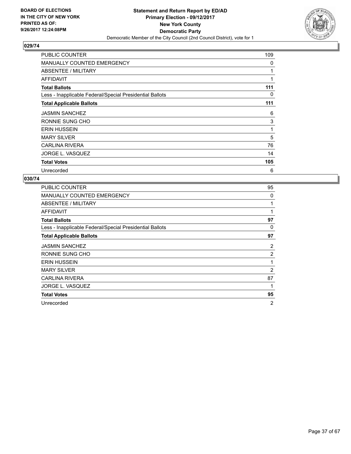

| <b>PUBLIC COUNTER</b>                                    | 109 |
|----------------------------------------------------------|-----|
| <b>MANUALLY COUNTED EMERGENCY</b>                        | 0   |
| ABSENTEE / MILITARY                                      | 1   |
| AFFIDAVIT                                                | 1   |
| <b>Total Ballots</b>                                     | 111 |
| Less - Inapplicable Federal/Special Presidential Ballots | 0   |
| <b>Total Applicable Ballots</b>                          | 111 |
| <b>JASMIN SANCHEZ</b>                                    | 6   |
| RONNIE SUNG CHO                                          | 3   |
| <b>ERIN HUSSEIN</b>                                      | 1   |
| <b>MARY SILVER</b>                                       | 5   |
| <b>CARLINA RIVERA</b>                                    | 76  |
| JORGE L. VASQUEZ                                         | 14  |
| <b>Total Votes</b>                                       | 105 |
| Unrecorded                                               | 6   |

| PUBLIC COUNTER                                           | 95             |
|----------------------------------------------------------|----------------|
| <b>MANUALLY COUNTED EMERGENCY</b>                        | 0              |
| ABSENTEE / MILITARY                                      | 1              |
| AFFIDAVIT                                                | 1              |
| <b>Total Ballots</b>                                     | 97             |
| Less - Inapplicable Federal/Special Presidential Ballots | 0              |
| <b>Total Applicable Ballots</b>                          | 97             |
| <b>JASMIN SANCHEZ</b>                                    | 2              |
| RONNIE SUNG CHO                                          | $\overline{2}$ |
| <b>ERIN HUSSEIN</b>                                      | 1              |
| <b>MARY SILVER</b>                                       | 2              |
| <b>CARLINA RIVERA</b>                                    | 87             |
| JORGE L. VASQUEZ                                         | 1              |
| <b>Total Votes</b>                                       | 95             |
| Unrecorded                                               | $\overline{2}$ |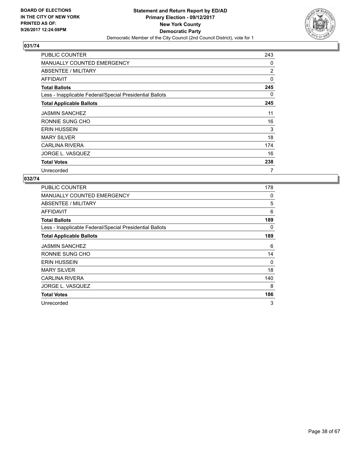

| <b>PUBLIC COUNTER</b>                                    | 243 |
|----------------------------------------------------------|-----|
| <b>MANUALLY COUNTED EMERGENCY</b>                        | 0   |
| ABSENTEE / MILITARY                                      | 2   |
| AFFIDAVIT                                                | 0   |
| <b>Total Ballots</b>                                     | 245 |
| Less - Inapplicable Federal/Special Presidential Ballots | 0   |
| <b>Total Applicable Ballots</b>                          | 245 |
| <b>JASMIN SANCHEZ</b>                                    | 11  |
| RONNIE SUNG CHO                                          | 16  |
| <b>ERIN HUSSEIN</b>                                      | 3   |
| <b>MARY SILVER</b>                                       | 18  |
| <b>CARLINA RIVERA</b>                                    | 174 |
| JORGE L. VASQUEZ                                         | 16  |
| <b>Total Votes</b>                                       | 238 |
| Unrecorded                                               | 7   |

| PUBLIC COUNTER                                           | 178 |
|----------------------------------------------------------|-----|
| <b>MANUALLY COUNTED EMERGENCY</b>                        | 0   |
| ABSENTEE / MILITARY                                      | 5   |
| AFFIDAVIT                                                | 6   |
| <b>Total Ballots</b>                                     | 189 |
| Less - Inapplicable Federal/Special Presidential Ballots | 0   |
| <b>Total Applicable Ballots</b>                          | 189 |
| <b>JASMIN SANCHEZ</b>                                    | 6   |
| RONNIE SUNG CHO                                          | 14  |
| <b>ERIN HUSSEIN</b>                                      | 0   |
| <b>MARY SILVER</b>                                       | 18  |
| CARLINA RIVERA                                           | 140 |
| JORGE L. VASQUEZ                                         | 8   |
| <b>Total Votes</b>                                       | 186 |
| Unrecorded                                               | 3   |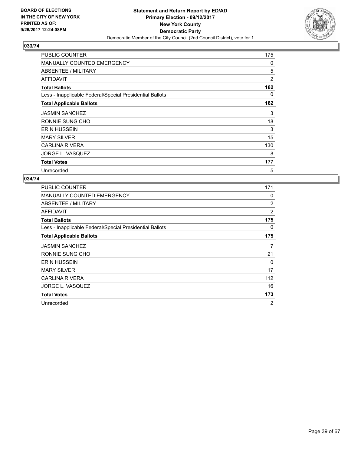

| <b>PUBLIC COUNTER</b>                                    | 175 |
|----------------------------------------------------------|-----|
| <b>MANUALLY COUNTED EMERGENCY</b>                        | 0   |
| ABSENTEE / MILITARY                                      | 5   |
| AFFIDAVIT                                                | 2   |
| <b>Total Ballots</b>                                     | 182 |
| Less - Inapplicable Federal/Special Presidential Ballots | 0   |
| <b>Total Applicable Ballots</b>                          | 182 |
| <b>JASMIN SANCHEZ</b>                                    | 3   |
| RONNIE SUNG CHO                                          | 18  |
| <b>ERIN HUSSEIN</b>                                      | 3   |
| <b>MARY SILVER</b>                                       | 15  |
| <b>CARLINA RIVERA</b>                                    | 130 |
| JORGE L. VASQUEZ                                         | 8   |
| <b>Total Votes</b>                                       | 177 |
| Unrecorded                                               | 5   |

| <b>PUBLIC COUNTER</b>                                    | 171            |
|----------------------------------------------------------|----------------|
| <b>MANUALLY COUNTED EMERGENCY</b>                        | 0              |
| ABSENTEE / MILITARY                                      | 2              |
| AFFIDAVIT                                                | $\overline{2}$ |
| <b>Total Ballots</b>                                     | 175            |
| Less - Inapplicable Federal/Special Presidential Ballots | 0              |
| <b>Total Applicable Ballots</b>                          | 175            |
| <b>JASMIN SANCHEZ</b>                                    | 7              |
| RONNIE SUNG CHO                                          | 21             |
| <b>ERIN HUSSEIN</b>                                      | 0              |
| <b>MARY SILVER</b>                                       | 17             |
| CARLINA RIVERA                                           | 112            |
| JORGE L. VASQUEZ                                         | 16             |
| <b>Total Votes</b>                                       | 173            |
| Unrecorded                                               | 2              |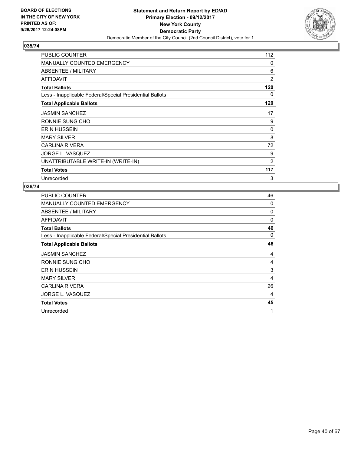

| <b>PUBLIC COUNTER</b>                                    | 112            |
|----------------------------------------------------------|----------------|
| <b>MANUALLY COUNTED EMERGENCY</b>                        | 0              |
| ABSENTEE / MILITARY                                      | 6              |
| <b>AFFIDAVIT</b>                                         | $\overline{2}$ |
| <b>Total Ballots</b>                                     | 120            |
| Less - Inapplicable Federal/Special Presidential Ballots | 0              |
| <b>Total Applicable Ballots</b>                          | 120            |
| <b>JASMIN SANCHEZ</b>                                    | 17             |
| RONNIE SUNG CHO                                          | 9              |
| <b>ERIN HUSSEIN</b>                                      | 0              |
| <b>MARY SILVER</b>                                       | 8              |
| <b>CARLINA RIVERA</b>                                    | 72             |
| <b>JORGE L. VASQUEZ</b>                                  | 9              |
| UNATTRIBUTABLE WRITE-IN (WRITE-IN)                       | $\overline{2}$ |
| <b>Total Votes</b>                                       | 117            |
| Unrecorded                                               | 3              |

| <b>PUBLIC COUNTER</b>                                    | 46 |
|----------------------------------------------------------|----|
| <b>MANUALLY COUNTED EMERGENCY</b>                        | 0  |
| ABSENTEE / MILITARY                                      | 0  |
| AFFIDAVIT                                                | 0  |
| <b>Total Ballots</b>                                     | 46 |
| Less - Inapplicable Federal/Special Presidential Ballots | 0  |
| <b>Total Applicable Ballots</b>                          | 46 |
| <b>JASMIN SANCHEZ</b>                                    | 4  |
| RONNIE SUNG CHO                                          | 4  |
| <b>ERIN HUSSEIN</b>                                      | 3  |
| <b>MARY SILVER</b>                                       | 4  |
| <b>CARLINA RIVERA</b>                                    | 26 |
| JORGE L. VASQUEZ                                         | 4  |
| <b>Total Votes</b>                                       | 45 |
| Unrecorded                                               | 1  |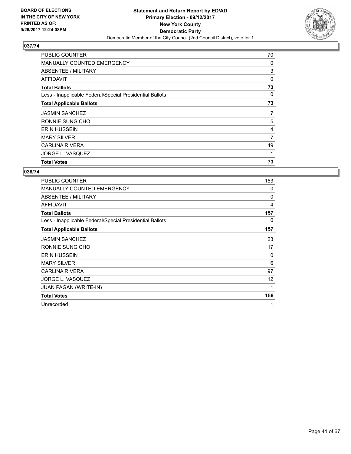

| <b>PUBLIC COUNTER</b>                                    | 70 |
|----------------------------------------------------------|----|
| MANUALLY COUNTED EMERGENCY                               | 0  |
| ABSENTEE / MILITARY                                      | 3  |
| AFFIDAVIT                                                | 0  |
| <b>Total Ballots</b>                                     | 73 |
| Less - Inapplicable Federal/Special Presidential Ballots | 0  |
| <b>Total Applicable Ballots</b>                          | 73 |
| <b>JASMIN SANCHEZ</b>                                    | 7  |
| RONNIE SUNG CHO                                          | 5  |
| <b>ERIN HUSSEIN</b>                                      | 4  |
| <b>MARY SILVER</b>                                       | 7  |
| <b>CARLINA RIVERA</b>                                    | 49 |
| JORGE L. VASQUEZ                                         | 1  |
| <b>Total Votes</b>                                       | 73 |

| <b>PUBLIC COUNTER</b>                                    | 153          |
|----------------------------------------------------------|--------------|
| <b>MANUALLY COUNTED EMERGENCY</b>                        | 0            |
| ABSENTEE / MILITARY                                      | 0            |
| <b>AFFIDAVIT</b>                                         | 4            |
| <b>Total Ballots</b>                                     | 157          |
| Less - Inapplicable Federal/Special Presidential Ballots | 0            |
| <b>Total Applicable Ballots</b>                          | 157          |
| <b>JASMIN SANCHEZ</b>                                    | 23           |
| RONNIE SUNG CHO                                          | 17           |
| <b>ERIN HUSSEIN</b>                                      | 0            |
| <b>MARY SILVER</b>                                       | 6            |
| CARLINA RIVERA                                           | 97           |
| JORGE L. VASQUEZ                                         | 12           |
| <b>JUAN PAGAN (WRITE-IN)</b>                             | $\mathbf{1}$ |
| <b>Total Votes</b>                                       | 156          |
| Unrecorded                                               | 1            |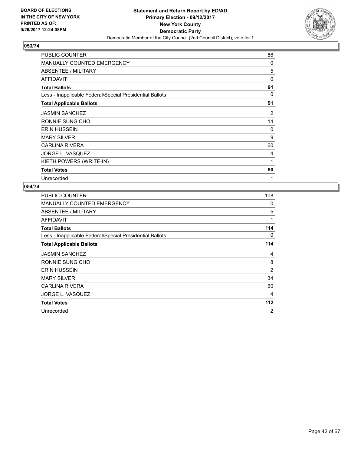

| PUBLIC COUNTER                                           | 86       |
|----------------------------------------------------------|----------|
| <b>MANUALLY COUNTED EMERGENCY</b>                        | 0        |
| ABSENTEE / MILITARY                                      | 5        |
| AFFIDAVIT                                                | 0        |
| <b>Total Ballots</b>                                     | 91       |
| Less - Inapplicable Federal/Special Presidential Ballots | 0        |
| <b>Total Applicable Ballots</b>                          | 91       |
| <b>JASMIN SANCHEZ</b>                                    | 2        |
| RONNIE SUNG CHO                                          | 14       |
| <b>ERIN HUSSEIN</b>                                      | $\Omega$ |
| <b>MARY SILVER</b>                                       | 9        |
| <b>CARLINA RIVERA</b>                                    | 60       |
| JORGE L. VASQUEZ                                         | 4        |
| KIETH POWERS (WRITE-IN)                                  | 1        |
| <b>Total Votes</b>                                       | 90       |
| Unrecorded                                               | 1        |

| PUBLIC COUNTER                                           | 108 |
|----------------------------------------------------------|-----|
| MANUALLY COUNTED EMERGENCY                               | 0   |
| ABSENTEE / MILITARY                                      | 5   |
| <b>AFFIDAVIT</b>                                         | 1   |
| <b>Total Ballots</b>                                     | 114 |
| Less - Inapplicable Federal/Special Presidential Ballots | 0   |
| <b>Total Applicable Ballots</b>                          | 114 |
| <b>JASMIN SANCHEZ</b>                                    | 4   |
| RONNIE SUNG CHO                                          | 8   |
| <b>ERIN HUSSEIN</b>                                      | 2   |
| <b>MARY SILVER</b>                                       | 34  |
| <b>CARLINA RIVERA</b>                                    | 60  |
| JORGE L. VASQUEZ                                         | 4   |
| <b>Total Votes</b>                                       | 112 |
| Unrecorded                                               | 2   |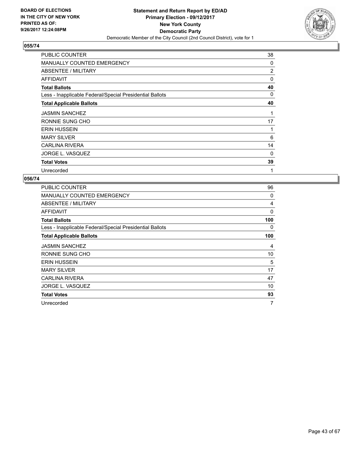

| <b>PUBLIC COUNTER</b>                                    | 38 |
|----------------------------------------------------------|----|
| <b>MANUALLY COUNTED EMERGENCY</b>                        | 0  |
| ABSENTEE / MILITARY                                      | 2  |
| AFFIDAVIT                                                | 0  |
| <b>Total Ballots</b>                                     | 40 |
| Less - Inapplicable Federal/Special Presidential Ballots | 0  |
| <b>Total Applicable Ballots</b>                          | 40 |
| <b>JASMIN SANCHEZ</b>                                    |    |
| RONNIE SUNG CHO                                          | 17 |
| <b>ERIN HUSSEIN</b>                                      | 1  |
| <b>MARY SILVER</b>                                       | 6  |
| <b>CARLINA RIVERA</b>                                    | 14 |
| JORGE L. VASQUEZ                                         | 0  |
| <b>Total Votes</b>                                       | 39 |
| Unrecorded                                               | 1  |

| PUBLIC COUNTER                                           | 96  |
|----------------------------------------------------------|-----|
| <b>MANUALLY COUNTED EMERGENCY</b>                        | 0   |
| ABSENTEE / MILITARY                                      | 4   |
| AFFIDAVIT                                                | 0   |
| <b>Total Ballots</b>                                     | 100 |
| Less - Inapplicable Federal/Special Presidential Ballots | 0   |
| <b>Total Applicable Ballots</b>                          | 100 |
| <b>JASMIN SANCHEZ</b>                                    | 4   |
| RONNIE SUNG CHO                                          | 10  |
| <b>ERIN HUSSEIN</b>                                      | 5   |
| <b>MARY SILVER</b>                                       | 17  |
| <b>CARLINA RIVERA</b>                                    | 47  |
| JORGE L. VASQUEZ                                         | 10  |
| <b>Total Votes</b>                                       | 93  |
| Unrecorded                                               | 7   |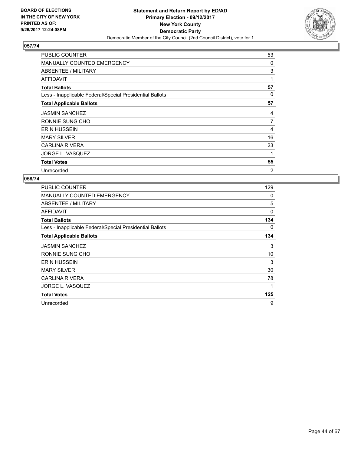

| <b>PUBLIC COUNTER</b>                                    | 53             |
|----------------------------------------------------------|----------------|
| <b>MANUALLY COUNTED EMERGENCY</b>                        | 0              |
| ABSENTEE / MILITARY                                      | 3              |
| <b>AFFIDAVIT</b>                                         | 1              |
| <b>Total Ballots</b>                                     | 57             |
| Less - Inapplicable Federal/Special Presidential Ballots | 0              |
| <b>Total Applicable Ballots</b>                          | 57             |
| <b>JASMIN SANCHEZ</b>                                    | 4              |
| RONNIE SUNG CHO                                          | $\overline{7}$ |
| <b>ERIN HUSSEIN</b>                                      | 4              |
| <b>MARY SILVER</b>                                       | 16             |
| <b>CARLINA RIVERA</b>                                    | 23             |
| JORGE L. VASQUEZ                                         | 1              |
| <b>Total Votes</b>                                       | 55             |
| Unrecorded                                               | $\overline{2}$ |

| <b>PUBLIC COUNTER</b>                                    | 129 |
|----------------------------------------------------------|-----|
| <b>MANUALLY COUNTED EMERGENCY</b>                        | 0   |
| ABSENTEE / MILITARY                                      | 5   |
| AFFIDAVIT                                                | 0   |
| <b>Total Ballots</b>                                     | 134 |
| Less - Inapplicable Federal/Special Presidential Ballots | 0   |
| <b>Total Applicable Ballots</b>                          | 134 |
| <b>JASMIN SANCHEZ</b>                                    | 3   |
| RONNIE SUNG CHO                                          | 10  |
| <b>ERIN HUSSEIN</b>                                      | 3   |
| <b>MARY SILVER</b>                                       | 30  |
| <b>CARLINA RIVERA</b>                                    | 78  |
| JORGE L. VASQUEZ                                         | 1   |
| <b>Total Votes</b>                                       | 125 |
| Unrecorded                                               | 9   |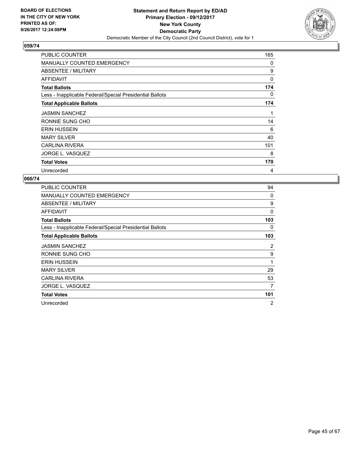

| <b>PUBLIC COUNTER</b>                                    | 165      |
|----------------------------------------------------------|----------|
| <b>MANUALLY COUNTED EMERGENCY</b>                        | 0        |
| ABSENTEE / MILITARY                                      | 9        |
| <b>AFFIDAVIT</b>                                         | $\Omega$ |
| <b>Total Ballots</b>                                     | 174      |
| Less - Inapplicable Federal/Special Presidential Ballots | 0        |
| <b>Total Applicable Ballots</b>                          | 174      |
| <b>JASMIN SANCHEZ</b>                                    | 1        |
| RONNIE SUNG CHO                                          | 14       |
| <b>ERIN HUSSEIN</b>                                      | 6        |
| <b>MARY SILVER</b>                                       | 40       |
| <b>CARLINA RIVERA</b>                                    | 101      |
| JORGE L. VASQUEZ                                         | 8        |
| <b>Total Votes</b>                                       | 170      |
| Unrecorded                                               | 4        |

| <b>PUBLIC COUNTER</b>                                    | 94           |
|----------------------------------------------------------|--------------|
| <b>MANUALLY COUNTED EMERGENCY</b>                        | 0            |
| ABSENTEE / MILITARY                                      | 9            |
| AFFIDAVIT                                                | 0            |
| <b>Total Ballots</b>                                     | 103          |
| Less - Inapplicable Federal/Special Presidential Ballots | 0            |
| <b>Total Applicable Ballots</b>                          | 103          |
| <b>JASMIN SANCHEZ</b>                                    | 2            |
| RONNIE SUNG CHO                                          | 9            |
| <b>ERIN HUSSEIN</b>                                      | $\mathbf{1}$ |
| <b>MARY SILVER</b>                                       | 29           |
| CARLINA RIVERA                                           | 53           |
| JORGE L. VASQUEZ                                         | 7            |
| <b>Total Votes</b>                                       | 101          |
| Unrecorded                                               | 2            |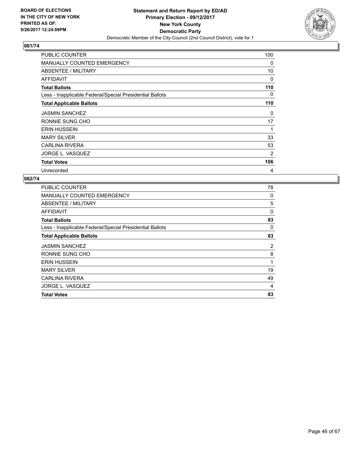

| <b>PUBLIC COUNTER</b>                                    | 100            |
|----------------------------------------------------------|----------------|
| <b>MANUALLY COUNTED EMERGENCY</b>                        | 0              |
| ABSENTEE / MILITARY                                      | 10             |
| <b>AFFIDAVIT</b>                                         | 0              |
| <b>Total Ballots</b>                                     | 110            |
| Less - Inapplicable Federal/Special Presidential Ballots | 0              |
| <b>Total Applicable Ballots</b>                          | 110            |
| <b>JASMIN SANCHEZ</b>                                    | 0              |
| RONNIE SUNG CHO                                          | 17             |
| <b>ERIN HUSSEIN</b>                                      | 1              |
| <b>MARY SILVER</b>                                       | 33             |
| <b>CARLINA RIVERA</b>                                    | 53             |
| JORGE L. VASQUEZ                                         | $\overline{2}$ |
| <b>Total Votes</b>                                       | 106            |
| Unrecorded                                               | 4              |

| <b>PUBLIC COUNTER</b>                                    | 78 |
|----------------------------------------------------------|----|
| MANUALLY COUNTED EMERGENCY                               | 0  |
| ABSENTEE / MILITARY                                      | 5  |
| AFFIDAVIT                                                | 0  |
| <b>Total Ballots</b>                                     | 83 |
| Less - Inapplicable Federal/Special Presidential Ballots | 0  |
| <b>Total Applicable Ballots</b>                          | 83 |
| <b>JASMIN SANCHEZ</b>                                    | 2  |
| RONNIE SUNG CHO                                          | 8  |
| <b>ERIN HUSSEIN</b>                                      | 1  |
| <b>MARY SILVER</b>                                       | 19 |
| <b>CARLINA RIVERA</b>                                    | 49 |
| JORGE L. VASQUEZ                                         | 4  |
| <b>Total Votes</b>                                       | 83 |
|                                                          |    |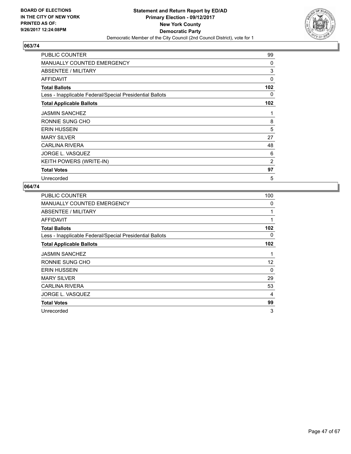

| <b>PUBLIC COUNTER</b>                                    | 99             |
|----------------------------------------------------------|----------------|
| <b>MANUALLY COUNTED EMERGENCY</b>                        | 0              |
| ABSENTEE / MILITARY                                      | 3              |
| AFFIDAVIT                                                | $\Omega$       |
| <b>Total Ballots</b>                                     | 102            |
| Less - Inapplicable Federal/Special Presidential Ballots | 0              |
| <b>Total Applicable Ballots</b>                          | 102            |
| <b>JASMIN SANCHEZ</b>                                    | 1              |
| RONNIE SUNG CHO                                          | 8              |
| <b>ERIN HUSSEIN</b>                                      | 5              |
| <b>MARY SILVER</b>                                       | 27             |
| <b>CARLINA RIVERA</b>                                    | 48             |
| JORGE L. VASQUEZ                                         | 6              |
| <b>KEITH POWERS (WRITE-IN)</b>                           | $\overline{2}$ |
| <b>Total Votes</b>                                       | 97             |
| Unrecorded                                               | 5              |

| PUBLIC COUNTER                                           | 100 |
|----------------------------------------------------------|-----|
| MANUALLY COUNTED EMERGENCY                               | 0   |
| ABSENTEE / MILITARY                                      | 1   |
| <b>AFFIDAVIT</b>                                         | 1   |
| <b>Total Ballots</b>                                     | 102 |
| Less - Inapplicable Federal/Special Presidential Ballots | 0   |
| <b>Total Applicable Ballots</b>                          | 102 |
| <b>JASMIN SANCHEZ</b>                                    | 1   |
| RONNIE SUNG CHO                                          | 12  |
| <b>ERIN HUSSEIN</b>                                      | 0   |
| <b>MARY SILVER</b>                                       | 29  |
| <b>CARLINA RIVERA</b>                                    | 53  |
| JORGE L. VASQUEZ                                         | 4   |
| <b>Total Votes</b>                                       | 99  |
| Unrecorded                                               | 3   |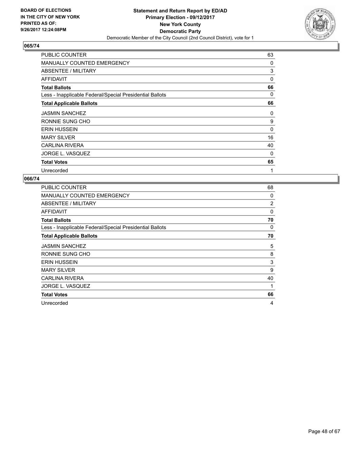

| <b>PUBLIC COUNTER</b>                                    | 63 |
|----------------------------------------------------------|----|
| <b>MANUALLY COUNTED EMERGENCY</b>                        | 0  |
| ABSENTEE / MILITARY                                      | 3  |
| AFFIDAVIT                                                | 0  |
| <b>Total Ballots</b>                                     | 66 |
| Less - Inapplicable Federal/Special Presidential Ballots | 0  |
| <b>Total Applicable Ballots</b>                          | 66 |
| <b>JASMIN SANCHEZ</b>                                    | 0  |
| RONNIE SUNG CHO                                          | 9  |
| <b>ERIN HUSSEIN</b>                                      | 0  |
| <b>MARY SILVER</b>                                       | 16 |
| <b>CARLINA RIVERA</b>                                    | 40 |
| JORGE L. VASQUEZ                                         | 0  |
| <b>Total Votes</b>                                       | 65 |
| Unrecorded                                               | 1  |

| <b>PUBLIC COUNTER</b>                                    | 68             |
|----------------------------------------------------------|----------------|
| MANUALLY COUNTED EMERGENCY                               | 0              |
| ABSENTEE / MILITARY                                      | $\overline{2}$ |
| AFFIDAVIT                                                | $\Omega$       |
| <b>Total Ballots</b>                                     | 70             |
| Less - Inapplicable Federal/Special Presidential Ballots | 0              |
| <b>Total Applicable Ballots</b>                          | 70             |
| <b>JASMIN SANCHEZ</b>                                    | 5              |
| RONNIE SUNG CHO                                          | 8              |
| <b>ERIN HUSSEIN</b>                                      | 3              |
| <b>MARY SILVER</b>                                       | 9              |
| <b>CARLINA RIVERA</b>                                    | 40             |
| JORGE L. VASQUEZ                                         | 1              |
| <b>Total Votes</b>                                       | 66             |
| Unrecorded                                               | 4              |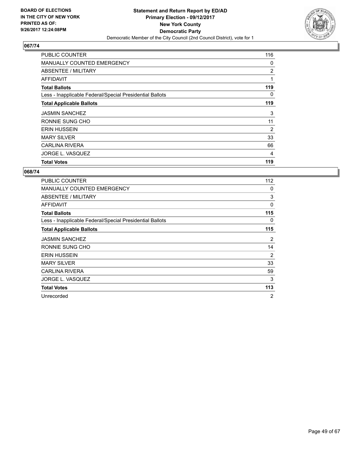

| <b>PUBLIC COUNTER</b>                                    | 116 |
|----------------------------------------------------------|-----|
| <b>MANUALLY COUNTED EMERGENCY</b>                        | 0   |
| ABSENTEE / MILITARY                                      | 2   |
| AFFIDAVIT                                                | 1   |
| <b>Total Ballots</b>                                     | 119 |
| Less - Inapplicable Federal/Special Presidential Ballots | 0   |
| <b>Total Applicable Ballots</b>                          | 119 |
| <b>JASMIN SANCHEZ</b>                                    | 3   |
| RONNIE SUNG CHO                                          | 11  |
| <b>ERIN HUSSEIN</b>                                      | 2   |
| <b>MARY SILVER</b>                                       | 33  |
| <b>CARLINA RIVERA</b>                                    | 66  |
| JORGE L. VASQUEZ                                         | 4   |
| <b>Total Votes</b>                                       | 119 |

| <b>PUBLIC COUNTER</b>                                    | 112            |
|----------------------------------------------------------|----------------|
| <b>MANUALLY COUNTED EMERGENCY</b>                        | 0              |
| <b>ABSENTEE / MILITARY</b>                               | 3              |
| AFFIDAVIT                                                | 0              |
| <b>Total Ballots</b>                                     | 115            |
| Less - Inapplicable Federal/Special Presidential Ballots | 0              |
| <b>Total Applicable Ballots</b>                          | 115            |
| <b>JASMIN SANCHEZ</b>                                    | 2              |
| RONNIE SUNG CHO                                          | 14             |
| <b>ERIN HUSSEIN</b>                                      | 2              |
| <b>MARY SILVER</b>                                       | 33             |
| <b>CARLINA RIVERA</b>                                    | 59             |
| JORGE L. VASQUEZ                                         | 3              |
| <b>Total Votes</b>                                       | 113            |
| Unrecorded                                               | $\overline{2}$ |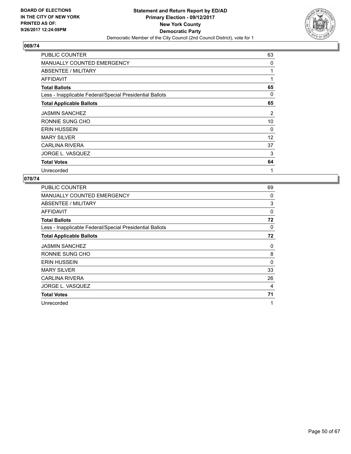

| <b>PUBLIC COUNTER</b>                                    | 63 |
|----------------------------------------------------------|----|
| <b>MANUALLY COUNTED EMERGENCY</b>                        | 0  |
| ABSENTEE / MILITARY                                      | 1  |
| AFFIDAVIT                                                | 1  |
| <b>Total Ballots</b>                                     | 65 |
| Less - Inapplicable Federal/Special Presidential Ballots | 0  |
| <b>Total Applicable Ballots</b>                          | 65 |
| <b>JASMIN SANCHEZ</b>                                    | 2  |
| RONNIE SUNG CHO                                          | 10 |
| <b>ERIN HUSSEIN</b>                                      | 0  |
| <b>MARY SILVER</b>                                       | 12 |
| <b>CARLINA RIVERA</b>                                    | 37 |
| JORGE L. VASQUEZ                                         | 3  |
| <b>Total Votes</b>                                       | 64 |
| Unrecorded                                               | 1  |

| PUBLIC COUNTER                                           | 69 |
|----------------------------------------------------------|----|
| <b>MANUALLY COUNTED EMERGENCY</b>                        | 0  |
| ABSENTEE / MILITARY                                      | 3  |
| AFFIDAVIT                                                | 0  |
| <b>Total Ballots</b>                                     | 72 |
| Less - Inapplicable Federal/Special Presidential Ballots | 0  |
| <b>Total Applicable Ballots</b>                          | 72 |
| <b>JASMIN SANCHEZ</b>                                    | 0  |
| RONNIE SUNG CHO                                          | 8  |
| <b>ERIN HUSSEIN</b>                                      | 0  |
| <b>MARY SILVER</b>                                       | 33 |
| <b>CARLINA RIVERA</b>                                    | 26 |
| JORGE L. VASQUEZ                                         | 4  |
| <b>Total Votes</b>                                       | 71 |
| Unrecorded                                               | 1  |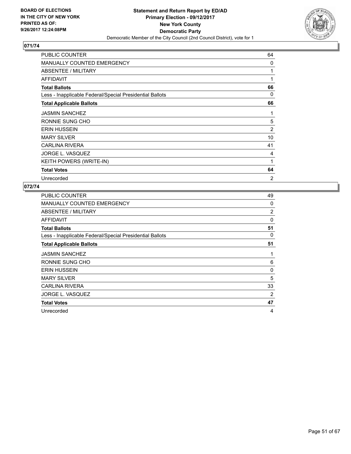

| PUBLIC COUNTER                                           | 64             |
|----------------------------------------------------------|----------------|
| <b>MANUALLY COUNTED EMERGENCY</b>                        | 0              |
| <b>ABSENTEE / MILITARY</b>                               | 1              |
| <b>AFFIDAVIT</b>                                         | 1              |
| <b>Total Ballots</b>                                     | 66             |
| Less - Inapplicable Federal/Special Presidential Ballots | 0              |
| <b>Total Applicable Ballots</b>                          | 66             |
| <b>JASMIN SANCHEZ</b>                                    | 1              |
| RONNIE SUNG CHO                                          | 5              |
| <b>ERIN HUSSEIN</b>                                      | 2              |
| <b>MARY SILVER</b>                                       | 10             |
| <b>CARLINA RIVERA</b>                                    | 41             |
| JORGE L. VASQUEZ                                         | 4              |
| <b>KEITH POWERS (WRITE-IN)</b>                           | 1              |
| <b>Total Votes</b>                                       | 64             |
| Unrecorded                                               | $\overline{2}$ |

| PUBLIC COUNTER                                           | 49 |
|----------------------------------------------------------|----|
| <b>MANUALLY COUNTED EMERGENCY</b>                        | 0  |
| ABSENTEE / MILITARY                                      | 2  |
| AFFIDAVIT                                                | 0  |
| <b>Total Ballots</b>                                     | 51 |
| Less - Inapplicable Federal/Special Presidential Ballots | 0  |
| <b>Total Applicable Ballots</b>                          | 51 |
| <b>JASMIN SANCHEZ</b>                                    | 1  |
| RONNIE SUNG CHO                                          | 6  |
| <b>ERIN HUSSEIN</b>                                      | 0  |
| <b>MARY SILVER</b>                                       | 5  |
| <b>CARLINA RIVERA</b>                                    | 33 |
| <b>JORGE L. VASQUEZ</b>                                  | 2  |
| <b>Total Votes</b>                                       | 47 |
| Unrecorded                                               | 4  |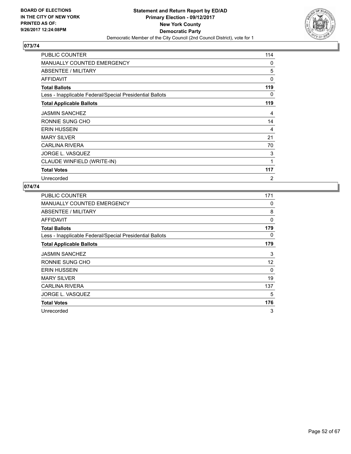

| <b>PUBLIC COUNTER</b>                                    | 114      |
|----------------------------------------------------------|----------|
| <b>MANUALLY COUNTED EMERGENCY</b>                        | 0        |
| ABSENTEE / MILITARY                                      | 5        |
| <b>AFFIDAVIT</b>                                         | $\Omega$ |
| <b>Total Ballots</b>                                     | 119      |
| Less - Inapplicable Federal/Special Presidential Ballots | 0        |
| <b>Total Applicable Ballots</b>                          | 119      |
| <b>JASMIN SANCHEZ</b>                                    | 4        |
| RONNIE SUNG CHO                                          | 14       |
| <b>ERIN HUSSEIN</b>                                      | 4        |
| <b>MARY SILVER</b>                                       | 21       |
| <b>CARLINA RIVERA</b>                                    | 70       |
| JORGE L. VASQUEZ                                         | 3        |
| CLAUDE WINFIELD (WRITE-IN)                               | 1        |
| <b>Total Votes</b>                                       | 117      |
| Unrecorded                                               | 2        |

| PUBLIC COUNTER                                           | 171 |
|----------------------------------------------------------|-----|
| <b>MANUALLY COUNTED EMERGENCY</b>                        | 0   |
| ABSENTEE / MILITARY                                      | 8   |
| AFFIDAVIT                                                | 0   |
| <b>Total Ballots</b>                                     | 179 |
| Less - Inapplicable Federal/Special Presidential Ballots | 0   |
| <b>Total Applicable Ballots</b>                          | 179 |
| <b>JASMIN SANCHEZ</b>                                    | 3   |
| RONNIE SUNG CHO                                          | 12  |
| <b>ERIN HUSSEIN</b>                                      | 0   |
| <b>MARY SILVER</b>                                       | 19  |
| <b>CARLINA RIVERA</b>                                    | 137 |
| JORGE L. VASQUEZ                                         | 5   |
| <b>Total Votes</b>                                       | 176 |
| Unrecorded                                               | 3   |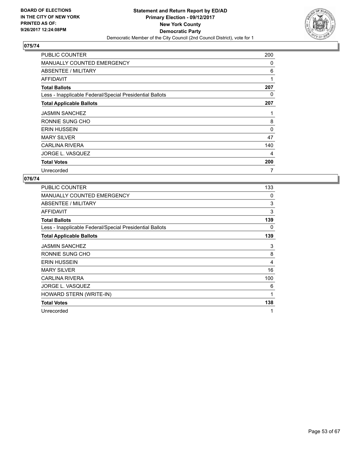

| <b>PUBLIC COUNTER</b>                                    | 200      |
|----------------------------------------------------------|----------|
| <b>MANUALLY COUNTED EMERGENCY</b>                        | 0        |
| ABSENTEE / MILITARY                                      | 6        |
| <b>AFFIDAVIT</b>                                         | 1        |
| <b>Total Ballots</b>                                     | 207      |
| Less - Inapplicable Federal/Special Presidential Ballots | 0        |
| <b>Total Applicable Ballots</b>                          | 207      |
| <b>JASMIN SANCHEZ</b>                                    | 1        |
| RONNIE SUNG CHO                                          | 8        |
| <b>ERIN HUSSEIN</b>                                      | $\Omega$ |
| <b>MARY SILVER</b>                                       | 47       |
| <b>CARLINA RIVERA</b>                                    | 140      |
| JORGE L. VASQUEZ                                         | 4        |
| <b>Total Votes</b>                                       | 200      |
| Unrecorded                                               | 7        |

| PUBLIC COUNTER                                           | 133 |
|----------------------------------------------------------|-----|
| <b>MANUALLY COUNTED EMERGENCY</b>                        | 0   |
| ABSENTEE / MILITARY                                      | 3   |
| AFFIDAVIT                                                | 3   |
| <b>Total Ballots</b>                                     | 139 |
| Less - Inapplicable Federal/Special Presidential Ballots | 0   |
| <b>Total Applicable Ballots</b>                          | 139 |
| <b>JASMIN SANCHEZ</b>                                    | 3   |
| RONNIE SUNG CHO                                          | 8   |
| <b>ERIN HUSSEIN</b>                                      | 4   |
| <b>MARY SILVER</b>                                       | 16  |
| <b>CARLINA RIVERA</b>                                    | 100 |
| JORGE L. VASQUEZ                                         | 6   |
| HOWARD STERN (WRITE-IN)                                  | 1   |
| <b>Total Votes</b>                                       | 138 |
| Unrecorded                                               | 1   |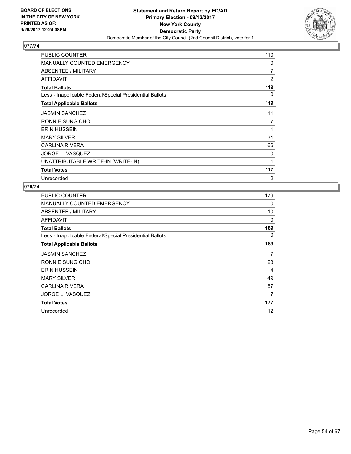

| <b>PUBLIC COUNTER</b>                                    | 110            |
|----------------------------------------------------------|----------------|
| <b>MANUALLY COUNTED EMERGENCY</b>                        | 0              |
| ABSENTEE / MILITARY                                      | $\overline{7}$ |
| <b>AFFIDAVIT</b>                                         | $\overline{2}$ |
| <b>Total Ballots</b>                                     | 119            |
| Less - Inapplicable Federal/Special Presidential Ballots | 0              |
| <b>Total Applicable Ballots</b>                          | 119            |
| <b>JASMIN SANCHEZ</b>                                    | 11             |
| RONNIE SUNG CHO                                          | 7              |
| <b>ERIN HUSSEIN</b>                                      | 1              |
| <b>MARY SILVER</b>                                       | 31             |
| <b>CARLINA RIVERA</b>                                    | 66             |
| JORGE L. VASQUEZ                                         | 0              |
| UNATTRIBUTABLE WRITE-IN (WRITE-IN)                       | 1              |
| <b>Total Votes</b>                                       | 117            |
| Unrecorded                                               | 2              |

| <b>PUBLIC COUNTER</b>                                    | 179 |
|----------------------------------------------------------|-----|
| <b>MANUALLY COUNTED EMERGENCY</b>                        | 0   |
| ABSENTEE / MILITARY                                      | 10  |
| <b>AFFIDAVIT</b>                                         | 0   |
| <b>Total Ballots</b>                                     | 189 |
| Less - Inapplicable Federal/Special Presidential Ballots | 0   |
| <b>Total Applicable Ballots</b>                          | 189 |
| <b>JASMIN SANCHEZ</b>                                    | 7   |
| RONNIE SUNG CHO                                          | 23  |
| <b>ERIN HUSSEIN</b>                                      | 4   |
| <b>MARY SILVER</b>                                       | 49  |
| <b>CARLINA RIVERA</b>                                    | 87  |
| JORGE L. VASQUEZ                                         | 7   |
| <b>Total Votes</b>                                       | 177 |
| Unrecorded                                               | 12  |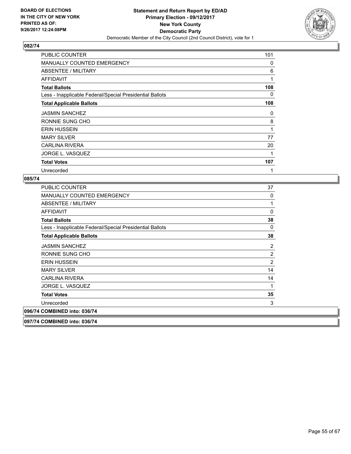

| <b>PUBLIC COUNTER</b>                                    | 101 |
|----------------------------------------------------------|-----|
| <b>MANUALLY COUNTED EMERGENCY</b>                        | 0   |
| ABSENTEE / MILITARY                                      | 6   |
| AFFIDAVIT                                                | 1   |
| <b>Total Ballots</b>                                     | 108 |
| Less - Inapplicable Federal/Special Presidential Ballots | 0   |
| <b>Total Applicable Ballots</b>                          | 108 |
| <b>JASMIN SANCHEZ</b>                                    | 0   |
| RONNIE SUNG CHO                                          | 8   |
| <b>ERIN HUSSEIN</b>                                      | 1   |
| <b>MARY SILVER</b>                                       | 77  |
| <b>CARLINA RIVERA</b>                                    | 20  |
| JORGE L. VASQUEZ                                         | 1   |
| <b>Total Votes</b>                                       | 107 |
| Unrecorded                                               | 1   |

#### **085/74**

**097/7** 

| <b>PUBLIC COUNTER</b>                                    | 37             |
|----------------------------------------------------------|----------------|
| <b>MANUALLY COUNTED EMERGENCY</b>                        | 0              |
| ABSENTEE / MILITARY                                      | 1              |
| <b>AFFIDAVIT</b>                                         | 0              |
| <b>Total Ballots</b>                                     | 38             |
| Less - Inapplicable Federal/Special Presidential Ballots | 0              |
| <b>Total Applicable Ballots</b>                          | 38             |
| <b>JASMIN SANCHEZ</b>                                    | 2              |
| RONNIE SUNG CHO                                          | $\overline{c}$ |
| <b>ERIN HUSSEIN</b>                                      | $\overline{2}$ |
| <b>MARY SILVER</b>                                       | 14             |
| CARLINA RIVERA                                           | 14             |
| <b>JORGE L. VASQUEZ</b>                                  | 1              |
| <b>Total Votes</b>                                       | 35             |
| Unrecorded                                               | 3              |
| 096/74 COMBINED into: 036/74                             |                |
| 097/74 COMBINED into: 036/74                             |                |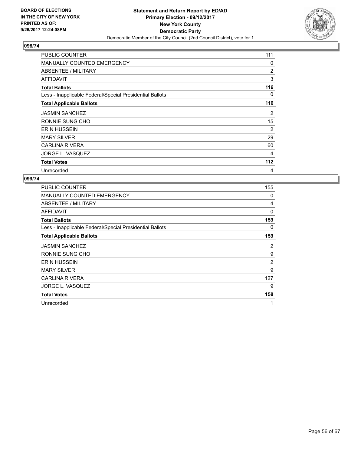

| <b>PUBLIC COUNTER</b>                                    | 111 |
|----------------------------------------------------------|-----|
| <b>MANUALLY COUNTED EMERGENCY</b>                        | 0   |
| ABSENTEE / MILITARY                                      | 2   |
| AFFIDAVIT                                                | 3   |
| <b>Total Ballots</b>                                     | 116 |
| Less - Inapplicable Federal/Special Presidential Ballots | 0   |
| <b>Total Applicable Ballots</b>                          | 116 |
| <b>JASMIN SANCHEZ</b>                                    | 2   |
| RONNIE SUNG CHO                                          | 15  |
| <b>ERIN HUSSEIN</b>                                      | 2   |
| <b>MARY SILVER</b>                                       | 29  |
| <b>CARLINA RIVERA</b>                                    | 60  |
| JORGE L. VASQUEZ                                         | 4   |
| <b>Total Votes</b>                                       | 112 |
| Unrecorded                                               | 4   |

| <b>PUBLIC COUNTER</b>                                    | 155            |
|----------------------------------------------------------|----------------|
| <b>MANUALLY COUNTED EMERGENCY</b>                        | 0              |
| ABSENTEE / MILITARY                                      | 4              |
| AFFIDAVIT                                                | 0              |
| <b>Total Ballots</b>                                     | 159            |
| Less - Inapplicable Federal/Special Presidential Ballots | 0              |
| <b>Total Applicable Ballots</b>                          | 159            |
| <b>JASMIN SANCHEZ</b>                                    | 2              |
| RONNIE SUNG CHO                                          | 9              |
| <b>ERIN HUSSEIN</b>                                      | $\overline{2}$ |
| <b>MARY SILVER</b>                                       | 9              |
| CARLINA RIVERA                                           | 127            |
| JORGE L. VASQUEZ                                         | 9              |
| <b>Total Votes</b>                                       | 158            |
| Unrecorded                                               | 1              |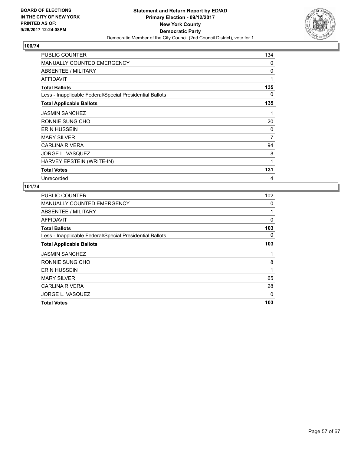

| PUBLIC COUNTER                                           | 134 |
|----------------------------------------------------------|-----|
| <b>MANUALLY COUNTED EMERGENCY</b>                        | 0   |
| ABSENTEE / MILITARY                                      | 0   |
| AFFIDAVIT                                                | 1   |
| <b>Total Ballots</b>                                     | 135 |
| Less - Inapplicable Federal/Special Presidential Ballots | 0   |
| <b>Total Applicable Ballots</b>                          | 135 |
| <b>JASMIN SANCHEZ</b>                                    | 1   |
| RONNIE SUNG CHO                                          | 20  |
| <b>ERIN HUSSEIN</b>                                      | 0   |
| <b>MARY SILVER</b>                                       | 7   |
| <b>CARLINA RIVERA</b>                                    | 94  |
| JORGE L. VASQUEZ                                         | 8   |
| HARVEY EPSTEIN (WRITE-IN)                                | 1   |
| <b>Total Votes</b>                                       | 131 |
| Unrecorded                                               | 4   |

| <b>PUBLIC COUNTER</b>                                    | 102 |
|----------------------------------------------------------|-----|
| <b>MANUALLY COUNTED EMERGENCY</b>                        | 0   |
| ABSENTEE / MILITARY                                      | 1   |
| AFFIDAVIT                                                | 0   |
| <b>Total Ballots</b>                                     | 103 |
| Less - Inapplicable Federal/Special Presidential Ballots | 0   |
| <b>Total Applicable Ballots</b>                          | 103 |
| <b>JASMIN SANCHEZ</b>                                    | 1   |
| RONNIE SUNG CHO                                          | 8   |
| <b>ERIN HUSSEIN</b>                                      | 1   |
| <b>MARY SILVER</b>                                       | 65  |
| <b>CARLINA RIVERA</b>                                    | 28  |
| JORGE L. VASQUEZ                                         | 0   |
| <b>Total Votes</b>                                       | 103 |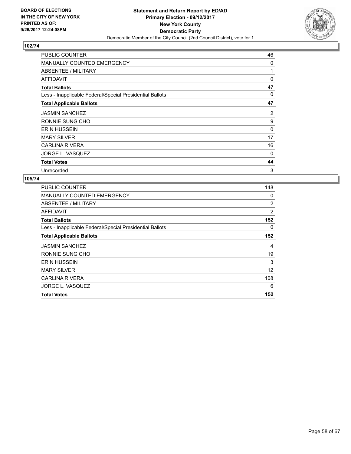

| <b>PUBLIC COUNTER</b>                                    | 46 |
|----------------------------------------------------------|----|
| <b>MANUALLY COUNTED EMERGENCY</b>                        | 0  |
| ABSENTEE / MILITARY                                      | 1  |
| AFFIDAVIT                                                | 0  |
| <b>Total Ballots</b>                                     | 47 |
| Less - Inapplicable Federal/Special Presidential Ballots | 0  |
| <b>Total Applicable Ballots</b>                          | 47 |
| <b>JASMIN SANCHEZ</b>                                    | 2  |
| RONNIE SUNG CHO                                          | 9  |
| <b>ERIN HUSSEIN</b>                                      | 0  |
| <b>MARY SILVER</b>                                       | 17 |
| <b>CARLINA RIVERA</b>                                    | 16 |
| JORGE L. VASQUEZ                                         | 0  |
| <b>Total Votes</b>                                       | 44 |
| Unrecorded                                               | 3  |

| <b>PUBLIC COUNTER</b>                                    | 148            |
|----------------------------------------------------------|----------------|
| MANUALLY COUNTED EMERGENCY                               | 0              |
| ABSENTEE / MILITARY                                      | $\overline{2}$ |
| AFFIDAVIT                                                | 2              |
| <b>Total Ballots</b>                                     | 152            |
| Less - Inapplicable Federal/Special Presidential Ballots | 0              |
| <b>Total Applicable Ballots</b>                          | 152            |
| <b>JASMIN SANCHEZ</b>                                    | 4              |
| RONNIE SUNG CHO                                          | 19             |
| <b>ERIN HUSSEIN</b>                                      | 3              |
| <b>MARY SILVER</b>                                       | 12             |
| <b>CARLINA RIVERA</b>                                    | 108            |
| JORGE L. VASQUEZ                                         | 6              |
| <b>Total Votes</b>                                       | 152            |
|                                                          |                |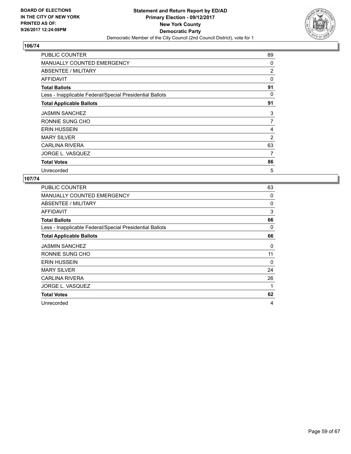

| <b>PUBLIC COUNTER</b>                                    | 89 |
|----------------------------------------------------------|----|
| <b>MANUALLY COUNTED EMERGENCY</b>                        | 0  |
| ABSENTEE / MILITARY                                      | 2  |
| AFFIDAVIT                                                | 0  |
| <b>Total Ballots</b>                                     | 91 |
| Less - Inapplicable Federal/Special Presidential Ballots | 0  |
| <b>Total Applicable Ballots</b>                          | 91 |
| <b>JASMIN SANCHEZ</b>                                    | 3  |
| RONNIE SUNG CHO                                          | 7  |
| <b>ERIN HUSSEIN</b>                                      | 4  |
| <b>MARY SILVER</b>                                       | 2  |
| <b>CARLINA RIVERA</b>                                    | 63 |
| JORGE L. VASQUEZ                                         | 7  |
| <b>Total Votes</b>                                       | 86 |
| Unrecorded                                               | 5  |

| <b>PUBLIC COUNTER</b>                                    | 63 |
|----------------------------------------------------------|----|
| <b>MANUALLY COUNTED EMERGENCY</b>                        | 0  |
| ABSENTEE / MILITARY                                      | 0  |
| AFFIDAVIT                                                | 3  |
| <b>Total Ballots</b>                                     | 66 |
| Less - Inapplicable Federal/Special Presidential Ballots | 0  |
| <b>Total Applicable Ballots</b>                          | 66 |
| <b>JASMIN SANCHEZ</b>                                    | 0  |
| RONNIE SUNG CHO                                          | 11 |
| <b>ERIN HUSSEIN</b>                                      | 0  |
| <b>MARY SILVER</b>                                       | 24 |
| <b>CARLINA RIVERA</b>                                    | 26 |
| JORGE L. VASQUEZ                                         | 1  |
| <b>Total Votes</b>                                       | 62 |
| Unrecorded                                               | 4  |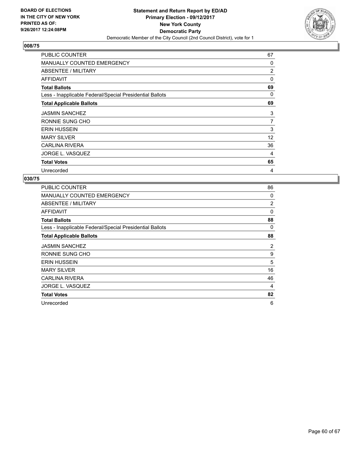

| <b>PUBLIC COUNTER</b>                                    | 67             |
|----------------------------------------------------------|----------------|
| <b>MANUALLY COUNTED EMERGENCY</b>                        | 0              |
| ABSENTEE / MILITARY                                      | 2              |
| <b>AFFIDAVIT</b>                                         | 0              |
| <b>Total Ballots</b>                                     | 69             |
| Less - Inapplicable Federal/Special Presidential Ballots | 0              |
| <b>Total Applicable Ballots</b>                          | 69             |
| <b>JASMIN SANCHEZ</b>                                    | 3              |
| RONNIE SUNG CHO                                          | $\overline{7}$ |
| <b>ERIN HUSSEIN</b>                                      | 3              |
| <b>MARY SILVER</b>                                       | 12             |
| <b>CARLINA RIVERA</b>                                    | 36             |
| JORGE L. VASQUEZ                                         | 4              |
| <b>Total Votes</b>                                       | 65             |
| Unrecorded                                               | 4              |

| <b>PUBLIC COUNTER</b>                                    | 86             |
|----------------------------------------------------------|----------------|
| <b>MANUALLY COUNTED EMERGENCY</b>                        | 0              |
| ABSENTEE / MILITARY                                      | $\overline{2}$ |
| AFFIDAVIT                                                | 0              |
| <b>Total Ballots</b>                                     | 88             |
| Less - Inapplicable Federal/Special Presidential Ballots | 0              |
| <b>Total Applicable Ballots</b>                          | 88             |
| <b>JASMIN SANCHEZ</b>                                    | $\overline{2}$ |
| RONNIE SUNG CHO                                          | 9              |
| <b>ERIN HUSSEIN</b>                                      | 5              |
| <b>MARY SILVER</b>                                       | 16             |
| <b>CARLINA RIVERA</b>                                    | 46             |
| JORGE L. VASQUEZ                                         | 4              |
| <b>Total Votes</b>                                       | 82             |
| Unrecorded                                               | 6              |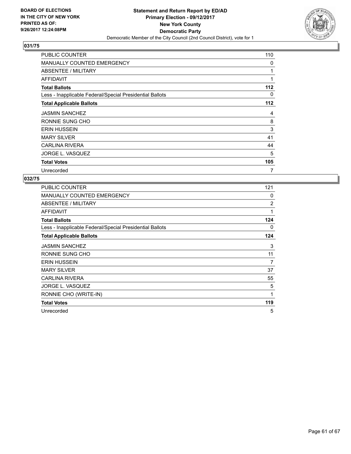

| PUBLIC COUNTER                                           | 110 |
|----------------------------------------------------------|-----|
| <b>MANUALLY COUNTED EMERGENCY</b>                        | 0   |
| ABSENTEE / MILITARY                                      |     |
| AFFIDAVIT                                                | 1   |
| <b>Total Ballots</b>                                     | 112 |
| Less - Inapplicable Federal/Special Presidential Ballots | 0   |
| <b>Total Applicable Ballots</b>                          | 112 |
| <b>JASMIN SANCHEZ</b>                                    | 4   |
| RONNIE SUNG CHO                                          | 8   |
| <b>ERIN HUSSEIN</b>                                      | 3   |
| <b>MARY SILVER</b>                                       | 41  |
| <b>CARLINA RIVERA</b>                                    | 44  |
| JORGE L. VASQUEZ                                         | 5   |
| <b>Total Votes</b>                                       | 105 |
| Unrecorded                                               | 7   |

| PUBLIC COUNTER                                           | 121            |
|----------------------------------------------------------|----------------|
| <b>MANUALLY COUNTED EMERGENCY</b>                        | 0              |
| ABSENTEE / MILITARY                                      | $\overline{2}$ |
| AFFIDAVIT                                                | 1              |
| <b>Total Ballots</b>                                     | 124            |
| Less - Inapplicable Federal/Special Presidential Ballots | 0              |
| <b>Total Applicable Ballots</b>                          | 124            |
| <b>JASMIN SANCHEZ</b>                                    | 3              |
| RONNIE SUNG CHO                                          | 11             |
| <b>ERIN HUSSEIN</b>                                      | 7              |
| <b>MARY SILVER</b>                                       | 37             |
| <b>CARLINA RIVERA</b>                                    | 55             |
| JORGE L. VASQUEZ                                         | 5              |
| RONNIE CHO (WRITE-IN)                                    | 1              |
| <b>Total Votes</b>                                       | 119            |
| Unrecorded                                               | 5              |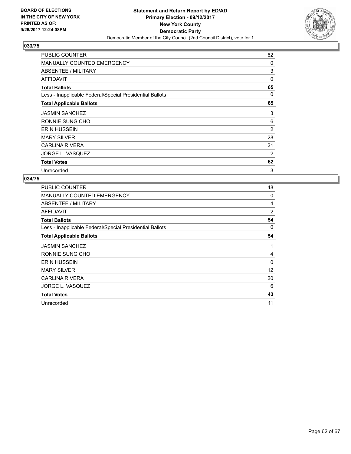

| <b>PUBLIC COUNTER</b>                                    | 62 |
|----------------------------------------------------------|----|
| <b>MANUALLY COUNTED EMERGENCY</b>                        | 0  |
| ABSENTEE / MILITARY                                      | 3  |
| AFFIDAVIT                                                | 0  |
| <b>Total Ballots</b>                                     | 65 |
| Less - Inapplicable Federal/Special Presidential Ballots | 0  |
| <b>Total Applicable Ballots</b>                          | 65 |
| <b>JASMIN SANCHEZ</b>                                    | 3  |
| RONNIE SUNG CHO                                          | 6  |
| <b>ERIN HUSSEIN</b>                                      | 2  |
| <b>MARY SILVER</b>                                       | 28 |
| <b>CARLINA RIVERA</b>                                    | 21 |
| JORGE L. VASQUEZ                                         | 2  |
| <b>Total Votes</b>                                       | 62 |
| Unrecorded                                               | 3  |

| PUBLIC COUNTER                                           | 48 |
|----------------------------------------------------------|----|
| <b>MANUALLY COUNTED EMERGENCY</b>                        | 0  |
| ABSENTEE / MILITARY                                      | 4  |
| AFFIDAVIT                                                | 2  |
| <b>Total Ballots</b>                                     | 54 |
| Less - Inapplicable Federal/Special Presidential Ballots | 0  |
| <b>Total Applicable Ballots</b>                          | 54 |
| <b>JASMIN SANCHEZ</b>                                    | 1  |
| RONNIE SUNG CHO                                          | 4  |
| <b>ERIN HUSSEIN</b>                                      | 0  |
| <b>MARY SILVER</b>                                       | 12 |
| CARLINA RIVERA                                           | 20 |
| JORGE L. VASQUEZ                                         | 6  |
| <b>Total Votes</b>                                       | 43 |
| Unrecorded                                               | 11 |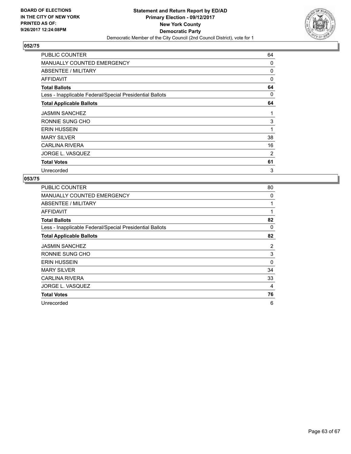

| <b>PUBLIC COUNTER</b>                                    | 64 |
|----------------------------------------------------------|----|
| <b>MANUALLY COUNTED EMERGENCY</b>                        | 0  |
| ABSENTEE / MILITARY                                      | 0  |
| AFFIDAVIT                                                | 0  |
| <b>Total Ballots</b>                                     | 64 |
| Less - Inapplicable Federal/Special Presidential Ballots | 0  |
| <b>Total Applicable Ballots</b>                          | 64 |
| <b>JASMIN SANCHEZ</b>                                    | 1  |
| RONNIE SUNG CHO                                          | 3  |
| <b>ERIN HUSSEIN</b>                                      | 1  |
| <b>MARY SILVER</b>                                       | 38 |
| <b>CARLINA RIVERA</b>                                    | 16 |
| JORGE L. VASQUEZ                                         | 2  |
| <b>Total Votes</b>                                       | 61 |
| Unrecorded                                               | 3  |

| <b>PUBLIC COUNTER</b>                                    | 80             |
|----------------------------------------------------------|----------------|
| <b>MANUALLY COUNTED EMERGENCY</b>                        | 0              |
| ABSENTEE / MILITARY                                      | 1              |
| AFFIDAVIT                                                | 1              |
| <b>Total Ballots</b>                                     | 82             |
| Less - Inapplicable Federal/Special Presidential Ballots | 0              |
| <b>Total Applicable Ballots</b>                          | 82             |
| <b>JASMIN SANCHEZ</b>                                    | $\overline{2}$ |
| RONNIE SUNG CHO                                          | 3              |
| <b>ERIN HUSSEIN</b>                                      | 0              |
| <b>MARY SILVER</b>                                       | 34             |
| <b>CARLINA RIVERA</b>                                    | 33             |
| JORGE L. VASQUEZ                                         | 4              |
| <b>Total Votes</b>                                       | 76             |
| Unrecorded                                               | 6              |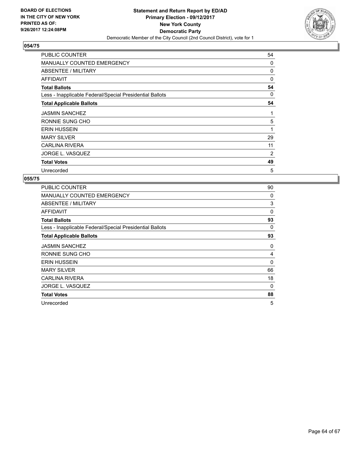

| <b>PUBLIC COUNTER</b>                                    | 54 |
|----------------------------------------------------------|----|
| <b>MANUALLY COUNTED EMERGENCY</b>                        | 0  |
| ABSENTEE / MILITARY                                      | 0  |
| AFFIDAVIT                                                | 0  |
| <b>Total Ballots</b>                                     | 54 |
| Less - Inapplicable Federal/Special Presidential Ballots | 0  |
| <b>Total Applicable Ballots</b>                          | 54 |
| <b>JASMIN SANCHEZ</b>                                    | 1  |
| RONNIE SUNG CHO                                          | 5  |
| <b>ERIN HUSSEIN</b>                                      | 1  |
| <b>MARY SILVER</b>                                       | 29 |
| <b>CARLINA RIVERA</b>                                    | 11 |
| JORGE L. VASQUEZ                                         | 2  |
| <b>Total Votes</b>                                       | 49 |
| Unrecorded                                               | 5  |

| <b>PUBLIC COUNTER</b>                                    | 90       |
|----------------------------------------------------------|----------|
| <b>MANUALLY COUNTED EMERGENCY</b>                        | 0        |
| ABSENTEE / MILITARY                                      | 3        |
| AFFIDAVIT                                                | $\Omega$ |
| <b>Total Ballots</b>                                     | 93       |
| Less - Inapplicable Federal/Special Presidential Ballots | 0        |
| <b>Total Applicable Ballots</b>                          | 93       |
| <b>JASMIN SANCHEZ</b>                                    | 0        |
| RONNIE SUNG CHO                                          | 4        |
| <b>ERIN HUSSEIN</b>                                      | 0        |
| <b>MARY SILVER</b>                                       | 66       |
| <b>CARLINA RIVERA</b>                                    | 18       |
| JORGE L. VASQUEZ                                         | 0        |
| <b>Total Votes</b>                                       | 88       |
| Unrecorded                                               | 5        |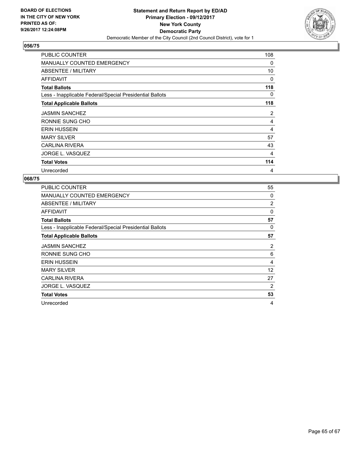

| <b>PUBLIC COUNTER</b>                                    | 108 |
|----------------------------------------------------------|-----|
| <b>MANUALLY COUNTED EMERGENCY</b>                        | 0   |
| <b>ABSENTEE / MILITARY</b>                               | 10  |
| AFFIDAVIT                                                | 0   |
| <b>Total Ballots</b>                                     | 118 |
| Less - Inapplicable Federal/Special Presidential Ballots | 0   |
| <b>Total Applicable Ballots</b>                          | 118 |
| <b>JASMIN SANCHEZ</b>                                    | 2   |
| RONNIE SUNG CHO                                          | 4   |
| <b>ERIN HUSSEIN</b>                                      | 4   |
| <b>MARY SILVER</b>                                       | 57  |
| <b>CARLINA RIVERA</b>                                    | 43  |
| JORGE L. VASQUEZ                                         | 4   |
| <b>Total Votes</b>                                       | 114 |
| Unrecorded                                               | 4   |

| <b>PUBLIC COUNTER</b>                                    | 55             |
|----------------------------------------------------------|----------------|
| <b>MANUALLY COUNTED EMERGENCY</b>                        | 0              |
| ABSENTEE / MILITARY                                      | $\overline{2}$ |
| AFFIDAVIT                                                | $\mathbf 0$    |
| <b>Total Ballots</b>                                     | 57             |
| Less - Inapplicable Federal/Special Presidential Ballots | 0              |
| <b>Total Applicable Ballots</b>                          | 57             |
| <b>JASMIN SANCHEZ</b>                                    | 2              |
| RONNIE SUNG CHO                                          | 6              |
| <b>ERIN HUSSEIN</b>                                      | 4              |
| <b>MARY SILVER</b>                                       | 12             |
| <b>CARLINA RIVERA</b>                                    | 27             |
| JORGE L. VASQUEZ                                         | 2              |
| <b>Total Votes</b>                                       | 53             |
| Unrecorded                                               | 4              |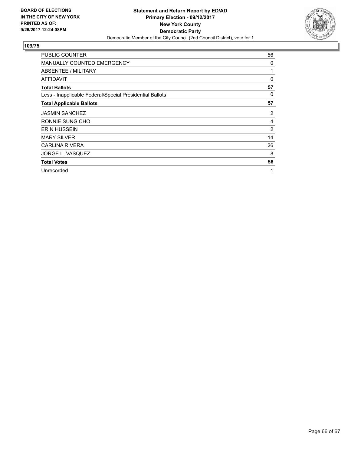

| <b>PUBLIC COUNTER</b>                                    | 56             |
|----------------------------------------------------------|----------------|
| <b>MANUALLY COUNTED EMERGENCY</b>                        | 0              |
| ABSENTEE / MILITARY                                      | 1              |
| AFFIDAVIT                                                | 0              |
| <b>Total Ballots</b>                                     | 57             |
| Less - Inapplicable Federal/Special Presidential Ballots | 0              |
| <b>Total Applicable Ballots</b>                          | 57             |
| <b>JASMIN SANCHEZ</b>                                    | 2              |
| RONNIE SUNG CHO                                          | 4              |
| <b>ERIN HUSSEIN</b>                                      | $\overline{2}$ |
| <b>MARY SILVER</b>                                       | 14             |
| <b>CARLINA RIVERA</b>                                    | 26             |
| JORGE L. VASQUEZ                                         | 8              |
| <b>Total Votes</b>                                       | 56             |
| Unrecorded                                               | 1              |